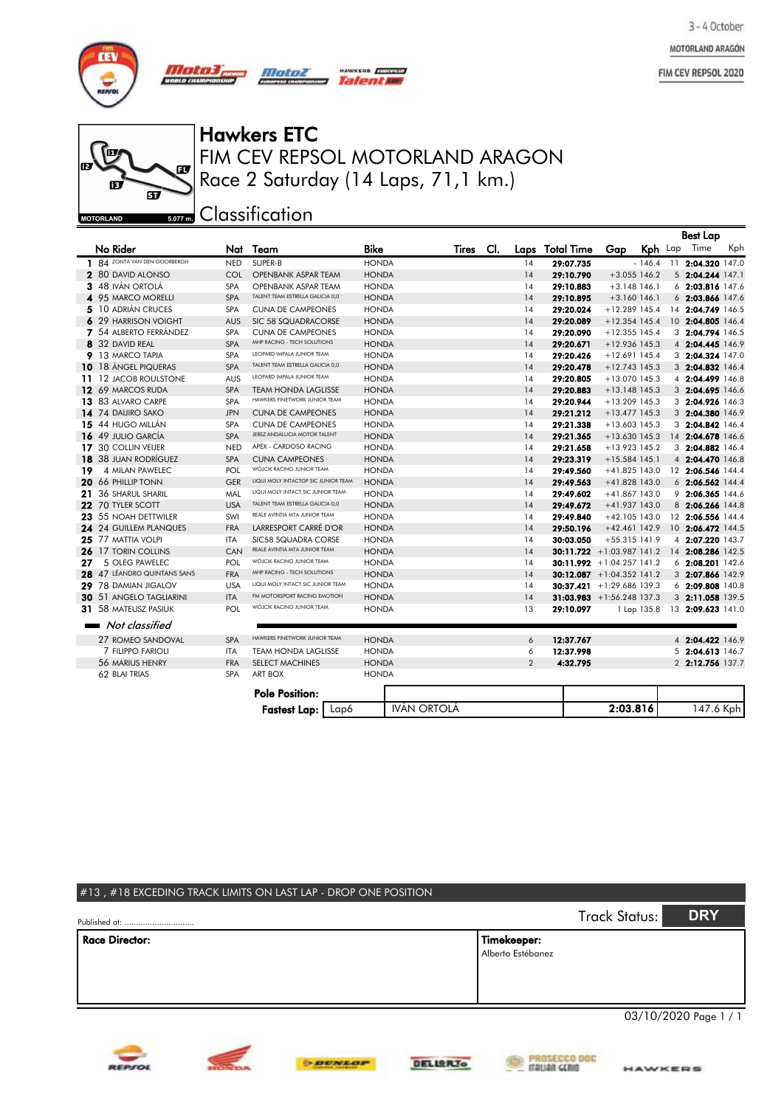MOTORLAND ARAGÓN

FIM CEV REPSOL 2020



 $\overline{H}$ 

し œ  $\overline{a}$ ந d **MOTORLAND** 

## FIM CEV REPSOL MOTORLAND ARAGON Hawkers ETC Race 2 Saturday (14 Laps, 71,1 km.)

HAWKERS **ENDDEAR** Talente

**sozm** Classification

*Motor* 

|     |                               |            |                                     |                    |              |     |                |                              |                 |             | <b>Best Lap</b>    |     |
|-----|-------------------------------|------------|-------------------------------------|--------------------|--------------|-----|----------------|------------------------------|-----------------|-------------|--------------------|-----|
|     | No Rider                      |            | Nat Team                            | <b>Bike</b>        | <b>Tires</b> | CI. |                | Laps Total Time              | Gap             |             | Kph Lap Time       | Kph |
|     | 1 84 ZONTA VAN DEN GOORBERGH  | <b>NED</b> | SUPER-B                             | <b>HONDA</b>       |              |     | 14             | 29:07.735                    |                 | $-146.4$    | 11 2:04.320 147.0  |     |
|     | 2 80 DAVID ALONSO             | COL        | <b>OPENBANK ASPAR TEAM</b>          | <b>HONDA</b>       |              |     | 14             | 29:10.790                    | $+3.055$ 146.2  |             | 5 2:04.244 147.1   |     |
|     | 3 48 IVÁN ORTOLÁ              | <b>SPA</b> | <b>OPENBANK ASPAR TEAM</b>          | <b>HONDA</b>       |              |     | 14             | 29:10.883                    | $+3.148$ 146.1  |             | 6 2:03.816 147.6   |     |
|     | 4 95 MARCO MORELLI            | <b>SPA</b> | TALENT TEAM ESTRELLA GALICIA 0,0    | <b>HONDA</b>       |              |     | 14             | 29:10.895                    | $+3.160$ 146.1  |             | $6$ 2:03.866 147.6 |     |
|     | 5 10 ADRIÁN CRUCES            | <b>SPA</b> | <b>CUNA DE CAMPEONES</b>            | <b>HONDA</b>       |              |     | 14             | 29:20.024                    | $+12.289$ 145.4 |             | 14 2:04.749 146.5  |     |
|     | 6 29 HARRISON VOIGHT          | <b>AUS</b> | SIC 58 SQUADRACORSE                 | <b>HONDA</b>       |              |     | 14             | 29:20.089                    | $+12.354$ 145.4 |             | 10 2:04.805 146.4  |     |
|     | 7 54 ALBERTO FERRÁNDEZ        | <b>SPA</b> | <b>CUNA DE CAMPEONES</b>            | <b>HONDA</b>       |              |     | 14             | 29:20.090                    | $+12.355$ 145.4 |             | 3 2:04.794 146.5   |     |
|     | 8 32 DAVID REAL               | <b>SPA</b> | MHP RACING - TECH SOLUTIONS         | <b>HONDA</b>       |              |     | 14             | 29:20.671                    | $+12.936$ 145.3 |             | 4 2:04.445 146.9   |     |
|     | 9 13 MARCO TAPIA              | <b>SPA</b> | LEOPARD IMPALA JUNIOR TEAM          | <b>HONDA</b>       |              |     | 14             | 29:20.426                    | $+12.691$ 145.4 |             | 3 2:04.324 147.0   |     |
| 10  | 18 ÁNGEL PIQUERAS             | <b>SPA</b> | TALENT TEAM ESTRELLA GALICIA 0,0    | <b>HONDA</b>       |              |     | 14             | 29:20.478                    | $+12.743$ 145.3 |             | 3 2:04.832 146.4   |     |
|     | 11 12 JACOB ROULSTONE         | <b>AUS</b> | LEOPARD IMPALA JUNIOR TEAM          | <b>HONDA</b>       |              |     | 14             | 29:20.805                    | +13.070 145.3   |             | 4 2:04.499 146.8   |     |
|     | 12 69 MARCOS RUDA             | <b>SPA</b> | <b>TEAM HONDA LAGLISSE</b>          | <b>HONDA</b>       |              |     | 14             | 29:20.883                    | $+13.148$ 145.3 |             | 3 2:04.695 146.6   |     |
|     | 13 83 ALVARO CARPE            | <b>SPA</b> | HAWKERS FINETWORK JUNIOR TEAM       | <b>HONDA</b>       |              |     | 14             | 29:20.944                    | $+13.209$ 145.3 |             | 3 2:04.926 146.3   |     |
|     | 14 74 DAIJIRO SAKO            | <b>JPN</b> | <b>CUNA DE CAMPEONES</b>            | <b>HONDA</b>       |              |     | 14             | 29:21.212                    | $+13.477$ 145.3 |             | 3 2:04.380 146.9   |     |
|     | 15 44 HUGO MILLÁN             | <b>SPA</b> | <b>CUNA DE CAMPEONES</b>            | <b>HONDA</b>       |              |     | 14             | 29:21.338                    | $+13.603$ 145.3 |             | 3 2:04.842 146.4   |     |
|     | 16 49 JULIO GARCÍA            | <b>SPA</b> | JEREZ ANDALUCIA MOTOR TALENT        | <b>HONDA</b>       |              |     | 14             | 29:21.365                    | $+13.630$ 145.3 |             | 14 2:04.678 146.6  |     |
|     | 17 30 COLLIN VEIJER           | <b>NED</b> | APEX - CARDOSO RACING               | <b>HONDA</b>       |              |     | 14             | 29:21.658                    | +13.923 145.2   |             | 3 2:04.882 146.4   |     |
| 18. | <b>38 JUAN RODRÍGUEZ</b>      | <b>SPA</b> | <b>CUNA CAMPEONES</b>               | <b>HONDA</b>       |              |     | 14             | 29:23.319                    | $+15.584$ 145.1 |             | 4 2:04.470 146.8   |     |
| 19  | 4 MILAN PAWELEC               | POL        | WÓJCIK RACING JUNIOR TEAM           | <b>HONDA</b>       |              |     | 14             | 29:49.560                    | $+41.825$ 143.0 |             | 12 2:06.546 144.4  |     |
|     | 20 66 PHILLIP TONN            | <b>GER</b> | LIQUI MOLY INTACTGP SIC JUNIOR TEAM | <b>HONDA</b>       |              |     | 14             | 29:49.563                    | +41.828 143.0   |             | $6$ 2:06.562 144.4 |     |
| 21  | <b>36 SHARUL SHARIL</b>       | MAL        | LIQUI MOLY INTACT SIC JUNIOR TEAM   | <b>HONDA</b>       |              |     | 14             | 29:49.602                    | $+41.867$ 143.0 |             | 9 2:06.365 144.6   |     |
| 22  | <b>70 TYLER SCOTT</b>         | <b>USA</b> | TALENT TEAM ESTRELLA GALICIA 0,0    | <b>HONDA</b>       |              |     | 14             | 29:49.672                    | +41.937 143.0   |             | 8 2:06.266 144.8   |     |
|     | 23 55 NOAH DETTWILER          | SWI        | REALE AVINTIA MTA JUNIOR TEAM       | <b>HONDA</b>       |              |     | 14             | 29:49.840                    | $+42.105$ 143.0 |             | 12 2:06.556 144.4  |     |
|     | <b>24 24 GUILLEM PLANQUES</b> | <b>FRA</b> | LARRESPORT CARRÉ D'OR               | <b>HONDA</b>       |              |     | 14             | 29:50.196                    | $+42.461$ 142.9 |             | 10 2:06.472 144.5  |     |
|     | 25 77 MATTIA VOLPI            | <b>ITA</b> | SIC58 SQUADRA CORSE                 | <b>HONDA</b>       |              |     | 14             | 30:03.050                    | $+55.315$ 141.9 |             | 4 2:07.220 143.7   |     |
| 26  | <b>17 TORIN COLLINS</b>       | CAN        | REALE AVINTIA MTA JUNIOR TEAM       | <b>HONDA</b>       |              |     | 14             | $30:11.722 + 1:03.987 141.2$ |                 |             | 14 2:08.286 142.5  |     |
| 27  | 5 OLEG PAWELEC                | POL        | WÓJCIK RACING JUNIOR TEAM           | <b>HONDA</b>       |              |     | 14             | $30:11.992 + 1:04.257141.2$  |                 |             | 6 2:08.201 142.6   |     |
|     | 28 47 LÉANDRO QUINTANS SANS   | <b>FRA</b> | MHP RACING - TECH SOLUTIONS         | <b>HONDA</b>       |              |     | 14             | $30:12.087 + 1:04.352$ 141.2 |                 |             | 3 2:07.866 142.9   |     |
| 29  | 78 DAMIAN JIGALOV             | <b>USA</b> | LIQUI MOLY INTACT SIC JUNIOR TEAM   | <b>HONDA</b>       |              |     | 14             | $30:37.421 + 1:29.686$ 139.3 |                 |             | 6 2:09.808 140.8   |     |
| 30  | 51 ANGELO TAGLIARINI          | <b>ITA</b> | FM MOTORSPORT RACING EMOTION        | <b>HONDA</b>       |              |     | 14             | 31:03.983 +1:56.248 137.3    |                 |             | 3 2:11.058 139.5   |     |
|     | 31 58 MATEUSZ PASIUK          | POL        | WÓJCIK RACING JUNIOR TEAM           | <b>HONDA</b>       |              |     | 13             | 29:10.097                    |                 | 1 Lap 135.8 | 13 2:09.623 141.0  |     |
|     | Not classified                |            |                                     |                    |              |     |                |                              |                 |             |                    |     |
|     | 27 ROMEO SANDOVAL             | <b>SPA</b> | HAWKERS FINETWORK JUNIOR TEAM       | <b>HONDA</b>       |              |     | 6              | 12:37.767                    |                 |             | 4 2:04.422 146.9   |     |
|     | 7 FILIPPO FARIOLI             | <b>ITA</b> | <b>TEAM HONDA LAGLISSE</b>          | <b>HONDA</b>       |              |     | 6              | 12:37.998                    |                 |             | 5 2:04.613 146.7   |     |
|     | 56 MARIUS HENRY               | <b>FRA</b> | <b>SELECT MACHINES</b>              | <b>HONDA</b>       |              |     | $\overline{2}$ | 4:32.795                     |                 |             | 2 2:12.756 137.7   |     |
|     | 62 BLAI TRIAS                 | <b>SPA</b> | <b>ART BOX</b>                      | <b>HONDA</b>       |              |     |                |                              |                 |             |                    |     |
|     |                               |            | <b>Pole Position:</b>               |                    |              |     |                |                              |                 |             |                    |     |
|     |                               |            | Lap6<br><b>Fastest Lap:</b>         | <b>IVÁN ORTOLÁ</b> |              |     |                |                              | 2:03.816        |             | 147.6 Kph          |     |

| #13, #18 EXCEDING TRACK LIMITS ON LAST LAP - DROP ONE POSITION<br>Published at: |                                                                      | Track Status: | <b>DRY</b>            |
|---------------------------------------------------------------------------------|----------------------------------------------------------------------|---------------|-----------------------|
| <b>Race Director:</b>                                                           | Timekeeper:<br>Alberto Estébanez                                     |               |                       |
|                                                                                 | the control and control the control of the control of the control of |               | 03/10/2020 Page 1 / 1 |



**O DENLOP** 

HONDA



**EXPROSECCO DOC**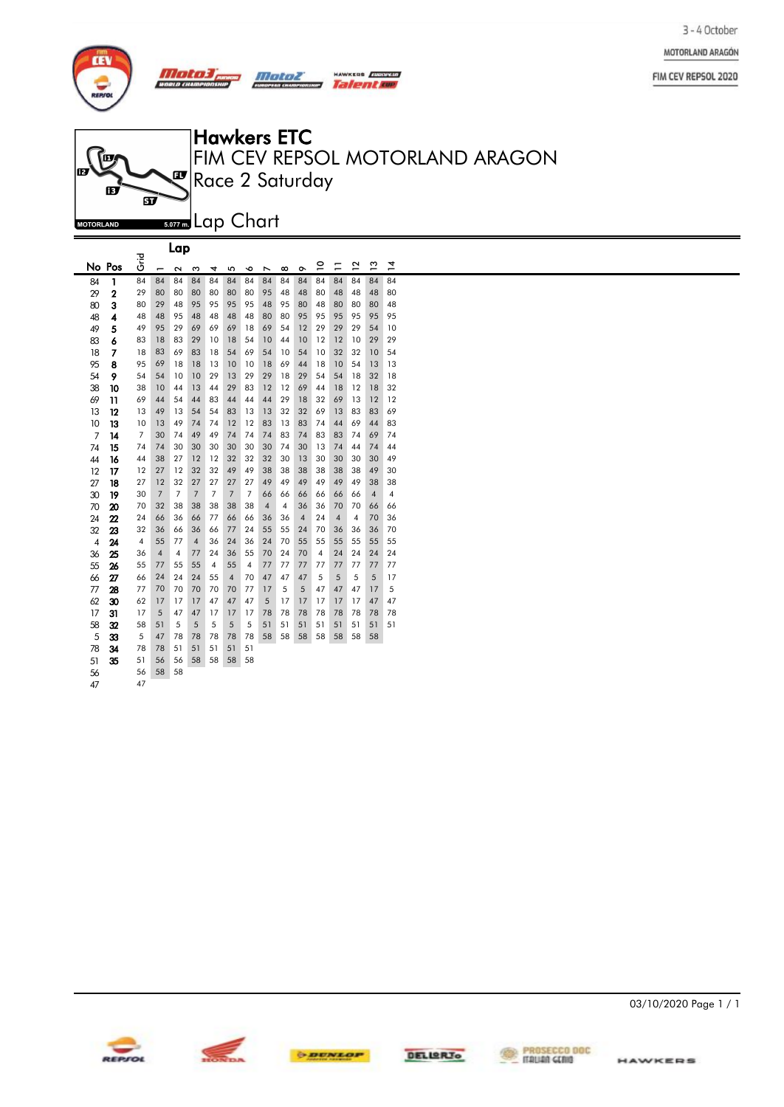



|                |                |                         |                | Lap               |                |                |                |                |                          |          |                |                         |    |              |               |                |  |
|----------------|----------------|-------------------------|----------------|-------------------|----------------|----------------|----------------|----------------|--------------------------|----------|----------------|-------------------------|----|--------------|---------------|----------------|--|
|                | No Pos         | <b>Pira</b>             | -              | $\mathbf{\Omega}$ | ω              | 4              | 5              | ∘              | $\overline{\phantom{0}}$ | $\infty$ | ò              | $\mathsf{P}$            | Ξ  | $\mathbf{r}$ | $\frac{3}{2}$ | $\overline{4}$ |  |
| 84             | 1              | 84                      | 84             | 84                | 84             | 84             | 84             | 84             | 84                       | 84       | 84             | 84                      | 84 | 84           | 84            | 84             |  |
| 29             | $\overline{2}$ | 29                      | 80             | 80                | 80             | 80             | 80             | 80             | 95                       | 48       | 48             | 80                      | 48 | 48           | 48            | 80             |  |
| 80             | 3              | 80                      | 29             | 48                | 95             | 95             | 95             | 95             | 48                       | 95       | 80             | 48                      | 80 | 80           | 80            | 48             |  |
| 48             | 4              | 48                      | 48             | 95                | 48             | 48             | 48             | 48             | 80                       | 80       | 95             | 95                      | 95 | 95           | 95            | 95             |  |
| 49             | 5              | 49                      | 95             | 29                | 69             | 69             | 69             | 18             | 69                       | 54       | 12             | 29                      | 29 | 29           | 54            | 10             |  |
| 83             | 6              | 83                      | 18             | 83                | 29             | 10             | 18             | 54             | 10                       | 44       | 10             | 12                      | 12 | 10           | 29            | 29             |  |
| 18             | 7              | 18                      | 83             | 69                | 83             | 18             | 54             | 69             | 54                       | 10       | 54             | 10                      | 32 | 32           | 10            | 54             |  |
| 95             | 8              | 95                      | 69             | 18                | 18             | 13             | 10             | 10             | 18                       | 69       | 44             | 18                      | 10 | 54           | 13            | 13             |  |
| 54             | 9              | 54                      | 54             | 10                | 10             | 29             | 13             | 29             | 29                       | 18       | 29             | 54                      | 54 | 18           | 32            | 18             |  |
| 38             | 10             | 38                      | 10             | 44                | 13             | 44             | 29             | 83             | 12                       | 12       | 69             | 44                      | 18 | 12           | 18            | 32             |  |
| 69             | 11             | 69                      | 44             | 54                | 44             | 83             | 44             | 44             | 44                       | 29       | 18             | 32                      | 69 | 13           | 12            | 12             |  |
| 13             | 12             | 13                      | 49             | 13                | 54             | 54             | 83             | 13             | 13                       | 32       | 32             | 69                      | 13 | 83           | 83            | 69             |  |
| 10             | 13             | 10                      | 13             | 49                | 74             | 74             | 12             | 12             | 83                       | 13       | 83             | 74                      | 44 | 69           | 44            | 83             |  |
| 7              | 14             | 7                       | 30             | 74                | 49             | 49             | 74             | 74             | 74                       | 83       | 74             | 83                      | 83 | 74           | 69            | 74             |  |
| 74             | 15             | 74                      | 74             | 30                | 30             | 30             | 30             | 30             | 30                       | 74       | 30             | 13                      | 74 | 44           | 74            | 44             |  |
| 44             | 16             | 44                      | 38             | 27                | 12             | 12             | 32             | 32             | 32                       | 30       | 13             | 30                      | 30 | 30           | 30            | 49             |  |
| 12             | 17             | 12                      | 27             | 12                | 32             | 32             | 49             | 49             | 38                       | 38       | 38             | 38                      | 38 | 38           | 49            | 30             |  |
| 27             | 18             | 27                      | 12             | 32                | 27             | 27             | 27             | 27             | 49                       | 49       | 49             | 49                      | 49 | 49           | 38            | 38             |  |
| 30             | 19             | 30                      | $\overline{7}$ | 7                 | $\overline{7}$ | $\overline{7}$ | $\overline{7}$ | $\overline{7}$ | 66                       | 66       | 66             | 66                      | 66 | 66           | 4             | 4              |  |
| 70             | 20             | 70                      | 32             | 38                | 38             | 38             | 38             | 38             | $\overline{4}$           | 4        | 36             | 36                      | 70 | 70           | 66            | 66             |  |
| 24             | 22             | 24                      | 66             | 36                | 66             | 77             | 66             | 66             | 36                       | 36       | $\overline{4}$ | 24                      | 4  | 4            | 70            | 36             |  |
| 32             | 23             | 32                      | 36             | 66                | 36             | 66             | 77             | 24             | 55                       | 55       | 24             | 70                      | 36 | 36           | 36            | 70             |  |
| $\overline{4}$ | 24             | $\overline{\mathbf{4}}$ | 55             | 77                | 4              | 36             | 24             | 36             | 24                       | 70       | 55             | 55                      | 55 | 55           | 55            | 55             |  |
| 36             | 25             | 36                      | $\overline{4}$ | 4                 | 77             | 24             | 36             | 55             | 70                       | 24       | 70             | $\overline{\mathbf{4}}$ | 24 | 24           | 24            | 24             |  |
| 55             | 26             | 55                      | 77             | 55                | 55             | 4              | 55             | 4              | 77                       | 77       | 77             | 77                      | 77 | 77           | 77            | 77             |  |
| 66             | 27             | 66                      | 24             | 24                | 24             | 55             | $\overline{4}$ | 70             | 47                       | 47       | 47             | 5                       | 5  | 5            | 5             | 17             |  |
| 77             | 28             | 77                      | 70             | 70                | 70             | 70             | 70             | 77             | 17                       | 5        | 5              | 47                      | 47 | 47           | 17            | 5              |  |
| 62             | 30             | 62                      | 17             | 17                | 17             | 47             | 47             | 47             | 5                        | 17       | 17             | 17                      | 17 | 17           | 47            | 47             |  |
| 17             | 31             | 17                      | 5              | 47                | 47             | 17             | 17             | 17             | 78                       | 78       | 78             | 78                      | 78 | 78           | 78            | 78             |  |
| 58             | 32             | 58                      | 51             | 5                 | 5              | 5              | 5              | 5              | 51                       | 51       | 51             | 51                      | 51 | 51           | 51            | 51             |  |
| 5              | 33             | 5                       | 47             | 78                | 78             | 78             | 78             | 78             | 58                       | 58       | 58             | 58                      | 58 | 58           | 58            |                |  |
| 78             | 34             | 78                      | 78             | 51                | 51             | 51             | 51             | 51             |                          |          |                |                         |    |              |               |                |  |
| 51             | 35             | 51                      | 56             | 56                | 58             | 58             | 58             | 58             |                          |          |                |                         |    |              |               |                |  |
| 56             |                | 56                      | 58             | 58                |                |                |                |                |                          |          |                |                         |    |              |               |                |  |
| Δ7             |                | 47                      |                |                   |                |                |                |                |                          |          |                |                         |    |              |               |                |  |









3 - 4 October MOTORLAND ARAGÓN

FIM CEV REPSOL 2020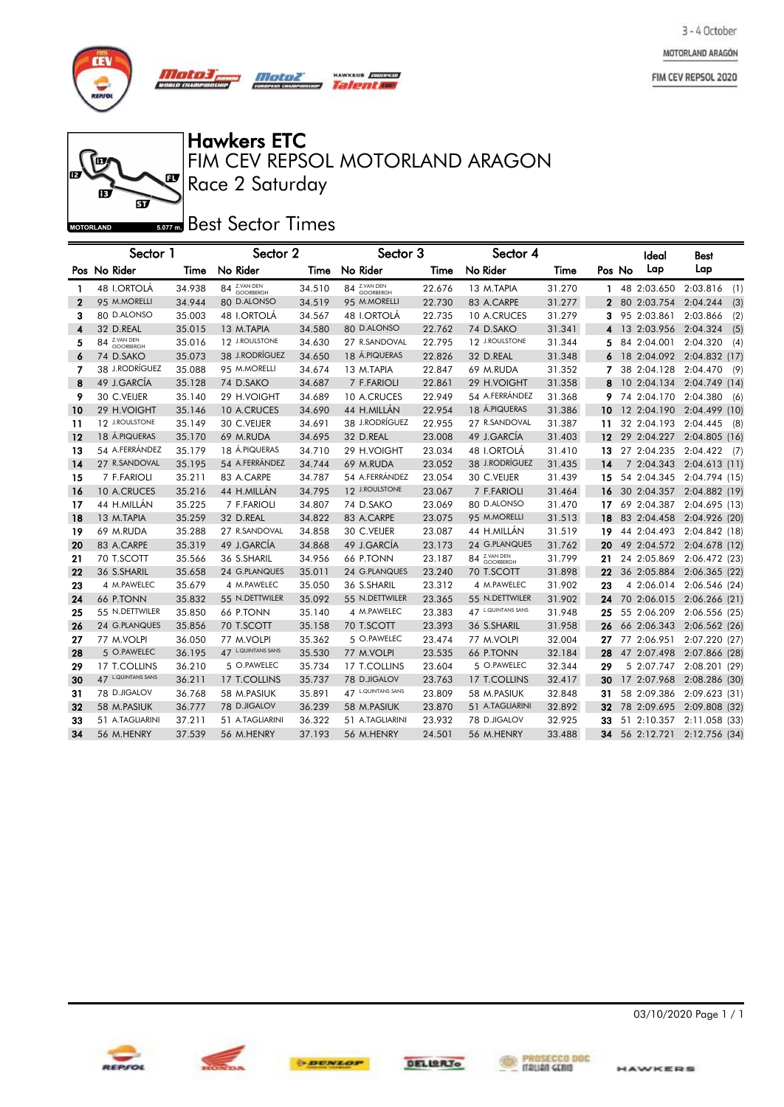MOTORLAND ARAGÓN

FIM CEV REPSOL 2020



### Ĩп  $\mathbf{F}$ ஏ **MOTORLAND**

Race 2 Saturday FIM CEV REPSOL MOTORLAND ARAGON Hawkers ETC

**HAWRES** *Quadress* 

#### **Best Sector Times**

|             | Sector 1           |        | Sector 2           |        | Sector 3           |        | Sector 4          |        |    |        | Ideal       | Best                        |
|-------------|--------------------|--------|--------------------|--------|--------------------|--------|-------------------|--------|----|--------|-------------|-----------------------------|
|             | Pos No Rider       | Time   | No Rider           | Time   | No Rider           | Time   | No Rider          | Time   |    | Pos No | Lap         | Lap                         |
| 1           | 48 I.ORTOLÁ        | 34.938 | 84 Z.VAN DEN       | 34.510 | 84 Z.VAN DEN       | 22.676 | 13 M.TAPIA        | 31.270 | 1. |        |             | 48 2:03.650 2:03.816<br>(1) |
| $\mathbf 2$ | 95 M.MORELLI       | 34.944 | 80 D.ALONSO        | 34.519 | 95 M.MORELLI       | 22.730 | 83 A.CARPE        | 31.277 | 2  |        | 80 2:03.754 | 2:04.244<br>(3)             |
| з           | 80 D.ALONSO        | 35.003 | 48 I.ORTOLA        | 34.567 | 48 I.ORTOLA        | 22.735 | 10 A.CRUCES       | 31.279 | 3  |        | 95 2:03.861 | 2:03.866<br>(2)             |
| 4           | 32 D.REAL          | 35.015 | 13 M.TAPIA         | 34.580 | 80 D.ALONSO        | 22.762 | 74 D.SAKO         | 31.341 |    |        | 13 2:03.956 | 2:04.324<br>(5)             |
| 5           | 84 Z.VAN DEN       | 35.016 | 12 J.ROULSTONE     | 34.630 | 27 R.SANDOVAL      | 22.795 | 12 J.ROULSTONE    | 31.344 | 5  |        | 84 2:04.001 | 2:04.320<br>(4)             |
| 6           | 74 D.SAKO          | 35.073 | 38 J.RODRIGUEZ     | 34.650 | 18 Á.PIQUERAS      | 22.826 | 32 D.REAL         | 31.348 |    |        | 18 2:04.092 | 2:04.832 (17)               |
| 7           | 38 J.RODRÍGUEZ     | 35.088 | 95 M.MORELLI       | 34.674 | 13 M.TAPIA         | 22.847 | 69 M.RUDA         | 31.352 |    |        | 38 2:04.128 | 2:04.470<br>(9)             |
| 8           | 49 J.GARCÍA        | 35.128 | 74 D.SAKO          | 34.687 | 7 F.FARIOLI        | 22.861 | 29 H.VOIGHT       | 31.358 |    |        | 10 2:04.134 | 2:04.749 (14)               |
| 9           | 30 C.VEIJER        | 35.140 | 29 H.VOIGHT        | 34.689 | 10 A.CRUCES        | 22.949 | 54 A.FERRÁNDEZ    | 31.368 | 9  |        | 74 2:04.170 | 2:04.380<br>(6)             |
| 10          | 29 H.VOIGHT        | 35.146 | 10 A.CRUCES        | 34.690 | 44 H.MILLÁN        | 22.954 | 18 Á.PIQUERAS     | 31.386 | 10 |        | 12 2:04.190 | 2:04.499 (10)               |
| 11          | 12 J.ROULSTONE     | 35.149 | 30 C.VEIJER        | 34.691 | 38 J.RODRÍGUEZ     | 22.955 | 27 R.SANDOVAL     | 31.387 | 11 |        | 32 2:04.193 | 2:04.445<br>(8)             |
| 12          | 18 A.PIQUERAS      | 35.170 | 69 M.RUDA          | 34.695 | 32 D.REAL          | 23.008 | 49 J.GARCÍA       | 31.403 | 12 |        | 29 2:04.227 | 2:04.805(16)                |
| 13          | 54 A.FERRÁNDEZ     | 35.179 | 18 Á.PIQUERAS      | 34.710 | 29 H.VOIGHT        | 23.034 | 48 I.ORTOLÁ       | 31.410 | 13 |        | 27 2:04.235 | 2:04.422<br>(7)             |
| 14          | 27 R.SANDOVAL      | 35.195 | 54 A.FERRÁNDEZ     | 34.744 | 69 M.RUDA          | 23.052 | 38 J.RODRÍGUEZ    | 31.435 | 14 |        | 7 2:04.343  | 2:04.613(11)                |
| 15          | 7 F.FARIOLI        | 35.211 | 83 A.CARPE         | 34.787 | 54 A.FERRÁNDEZ     | 23.054 | 30 C.VEIJER       | 31.439 | 15 |        | 54 2:04.345 | 2:04.794 (15)               |
| 16          | 10 A.CRUCES        | 35.216 | 44 H.MILLÁN        | 34.795 | 12 J.ROULSTONE     | 23.067 | 7 F.FARIOLI       | 31.464 | 16 |        | 30 2:04.357 | 2:04.882 (19)               |
| 17          | 44 H.MILLÁN        | 35.225 | 7 F.FARIOLI        | 34.807 | 74 D.SAKO          | 23.069 | 80 D.ALONSO       | 31.470 | 17 |        | 69 2:04.387 | 2:04.695 (13)               |
| 18          | 13 M.TAPIA         | 35.259 | 32 D.REAL          | 34.822 | 83 A.CARPE         | 23.075 | 95 M.MORELLI      | 31.513 | 18 |        | 83 2:04.458 | 2:04.926 (20)               |
| 19          | 69 M.RUDA          | 35.288 | 27 R.SANDOVAL      | 34.858 | 30 C.VEIJER        | 23.087 | 44 H.MILLÁN       | 31.519 | 19 |        | 44 2:04.493 | 2:04.842 (18)               |
| 20          | 83 A.CARPE         | 35.319 | 49 J.GARCÍA        | 34.868 | 49 J.GARCÍA        | 23.173 | 24 G.PLANQUES     | 31.762 | 20 |        | 49 2:04.572 | 2:04.678 (12)               |
| 21          | 70 T.SCOTT         | 35.566 | 36 S.SHARIL        | 34.956 | <b>66 P.TONN</b>   | 23.187 | 84 Z.VAN DEN      | 31.799 | 21 |        | 24 2:05.869 | 2:06.472 (23)               |
| 22          | 36 S.SHARIL        | 35.658 | 24 G.PLANQUES      | 35.011 | 24 G.PLANQUES      | 23.240 | 70 T.SCOTT        | 31.898 | 22 |        | 36 2:05.884 | 2:06.365 (22)               |
| 23          | 4 M.PAWELEC        | 35.679 | 4 M.PAWELEC        | 35.050 | 36 S.SHARIL        | 23.312 | 4 M.PAWELEC       | 31.902 | 23 |        | 4 2:06.014  | 2:06.546 (24)               |
| 24          | 66 P.TONN          | 35.832 | 55 N.DETTWILER     | 35.092 | 55 N.DETTWILER     | 23.365 | 55 N.DETTWILER    | 31.902 | 24 |        | 70 2:06.015 | 2:06.266(21)                |
| 25          | 55 N.DETTWILER     | 35.850 | 66 P.TONN          | 35.140 | 4 M.PAWELEC        | 23.383 | 47 LQUINTANS SANS | 31.948 | 25 |        | 55 2:06.209 | 2:06.556 (25)               |
| 26          | 24 G.PLANQUES      | 35.856 | 70 T.SCOTT         | 35.158 | 70 T.SCOTT         | 23.393 | 36 S.SHARIL       | 31.958 | 26 |        | 66 2:06.343 | 2:06.562 (26)               |
| 27          | 77 M.VOLPI         | 36.050 | 77 M.VOLPI         | 35.362 | 5 O.PAWELEC        | 23.474 | 77 M.VOLPI        | 32.004 | 27 |        | 77 2:06.951 | 2:07.220 (27)               |
| 28          | 5 O.PAWELEC        | 36.195 | 47 L.QUINTANS SANS | 35.530 | 77 M.VOLPI         | 23.535 | 66 P.TONN         | 32.184 | 28 |        | 47 2:07.498 | 2:07.866 (28)               |
| 29          | 17 T.COLLINS       | 36.210 | 5 O.PAWELEC        | 35.734 | 17 T.COLLINS       | 23.604 | 5 O.PAWELEC       | 32.344 | 29 |        | 5 2:07.747  | 2:08.201 (29)               |
| 30          | 47 L.QUINTANS SANS | 36.211 | 17 T.COLLINS       | 35.737 | 78 D.JIGALOV       | 23.763 | 17 T.COLLINS      | 32.417 | 30 |        | 17 2:07.968 | 2:08.286 (30)               |
| 31          | 78 D.JIGALOV       | 36.768 | 58 M.PASIUK        | 35.891 | 47 L.QUINTANS SANS | 23.809 | 58 M.PASIUK       | 32.848 | 31 |        | 58 2:09.386 | 2:09.623(31)                |
| 32          | 58 M.PASIUK        | 36.777 | 78 D.JIGALOV       | 36.239 | 58 M.PASIUK        | 23.870 | 51 A.TAGLIARINI   | 32.892 | 32 |        | 78 2:09.695 | 2:09.808 (32)               |
| 33          | 51 A.TAGLIARINI    | 37.211 | 51 A.TAGLIARINI    | 36.322 | 51 A.TAGLIARINI    | 23.932 | 78 D.JIGALOV      | 32.925 | 33 |        | 51 2:10.357 | 2:11.058 (33)               |
| 34          | 56 M.HENRY         | 37.539 | 56 M.HENRY         | 37.193 | 56 M.HENRY         | 24.501 | 56 M.HENRY        | 33.488 | 34 |        |             | 56 2:12.721 2:12.756 (34)   |







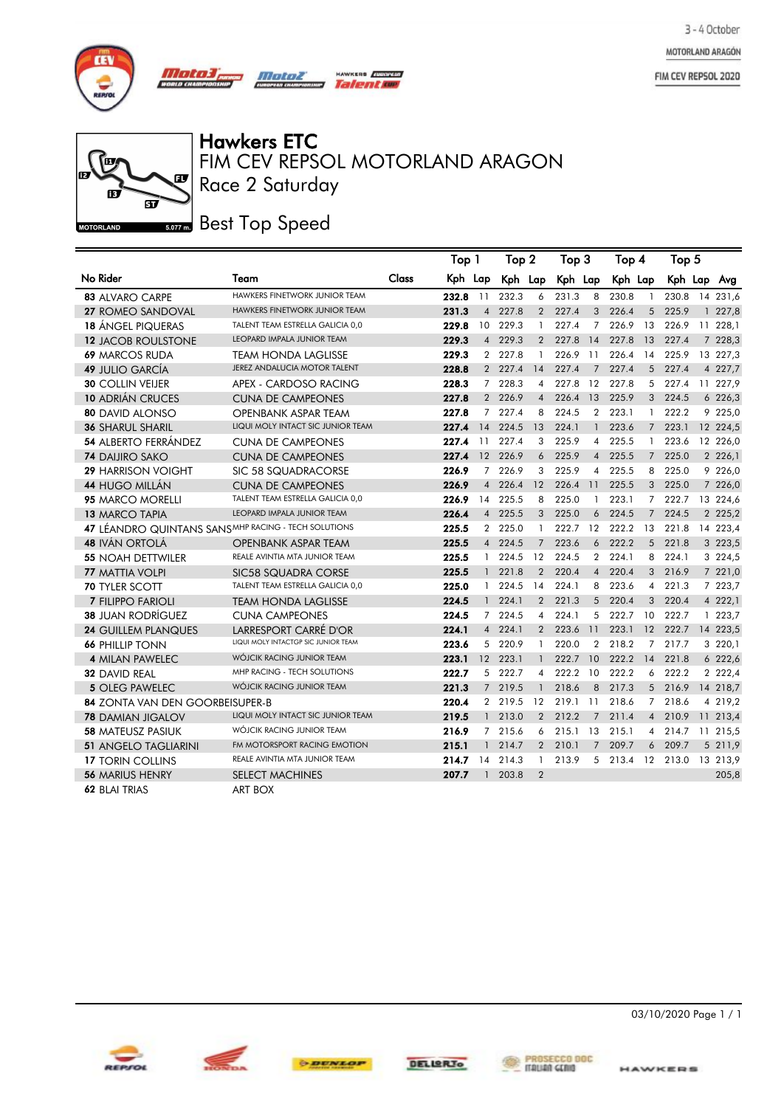MOTORLAND ARAGÓN

FIM CEV REPSOL 2020





Hawkers ETC<br>FIM CEV REPSOL MOTORLAND ARAGON Race 2 Saturday

HAWKERS *EUROPEAN* Talentin

**Best Top Speed** 

|                                                     |                                     |       | Top 1   |                | Top 2    |                | Тор З    |                 | Top 4   |                | Top 5     |    |             |
|-----------------------------------------------------|-------------------------------------|-------|---------|----------------|----------|----------------|----------|-----------------|---------|----------------|-----------|----|-------------|
| No Rider                                            | Team                                | Class | Kph Lap |                | Kph Lap  |                | Kph Lap  |                 | Kph Lap |                | Kph Lap   |    | Avg         |
| <b>83 ALVARO CARPE</b>                              | HAWKERS FINETWORK JUNIOR TEAM       |       | 232.8   | 11             | 232.3    | 6              | 231.3    | 8               | 230.8   | -1             | 230.8     | 14 | 231,6       |
| 27 ROMEO SANDOVAL                                   | HAWKERS FINETWORK JUNIOR TEAM       |       | 231.3   | $\overline{4}$ | 227.8    | $\overline{2}$ | 227.4    | 3               | 226.4   | 5              | 225.9     |    | 1227,8      |
| <b>18 ÁNGEL PIQUERAS</b>                            | TALENT TEAM ESTRELLA GALICIA 0,0    |       | 229.8   | 10             | 229.3    | $\mathbf{1}$   | 227.4    | 7               | 226.9   | 13             | 226.9     |    | 11 228,1    |
| <b>12 JACOB ROULSTONE</b>                           | <b>LEOPARD IMPALA JUNIOR TEAM</b>   |       | 229.3   | $\overline{4}$ | 229.3    | 2              | 227.8    | 14              | 227.8   | 13             | 227.4     |    | 7 228,3     |
| <b>69 MARCOS RUDA</b>                               | TEAM HONDA LAGLISSE                 |       | 229.3   | $\mathbf{2}$   | 227.8    | -1             | 226.9    | -11             | 226.4   | 14             | 225.9     |    | 13 227,3    |
| <b>49 JULIO GARCÍA</b>                              | JEREZ ANDALUCIA MOTOR TALENT        |       | 228.8   |                | 2 227.4  | 14             | 227.4    | $\overline{7}$  | 227.4   | 5              | 227.4     |    | 4 227,7     |
| <b>30 COLLIN VEIJER</b>                             | APEX - CARDOSO RACING               |       | 228.3   | $7^{\circ}$    | 228.3    | $\overline{4}$ | 227.8    | 12              | 227.8   | 5              | 227.4     |    | 11 227,9    |
| <b>10 ADRIÁN CRUCES</b>                             | <b>CUNA DE CAMPEONES</b>            |       | 227.8   |                | 2 226.9  | $\overline{4}$ | 226.4    | 13              | 225.9   | 3              | 224.5     |    | 6 226,3     |
| <b>80 DAVID ALONSO</b>                              | <b>OPENBANK ASPAR TEAM</b>          |       | 227.8   | $7^{\circ}$    | 227.4    | 8              | 224.5    | $\overline{2}$  | 223.1   | $\mathbf{1}$   | 222.2     |    | 9 225,0     |
| <b>36 SHARUL SHARIL</b>                             | LIQUI MOLY INTACT SIC JUNIOR TEAM   |       | 227.4   | 14             | 224.5    | 13             | 224.1    | $\mathbf{1}$    | 223.6   |                | $7$ 223.1 |    | 12 224,5    |
| <b>54 ALBERTO FERRÁNDEZ</b>                         | <b>CUNA DE CAMPEONES</b>            |       | 227.4   | 11             | 227.4    | 3              | 225.9    | 4               | 225.5   | $\mathbf{1}$   | 223.6     |    | 12 226,0    |
| <b>74 DAIJIRO SAKO</b>                              | <b>CUNA DE CAMPEONES</b>            |       | 227.4   | 12             | 226.9    | 6              | 225.9    | $\overline{4}$  | 225.5   | $7^{\circ}$    | 225.0     |    | 2 2 2 6, 1  |
| <b>29 HARRISON VOIGHT</b>                           | SIC 58 SQUADRACORSE                 |       | 226.9   | $\overline{7}$ | 226.9    | 3              | 225.9    | 4               | 225.5   | 8              | 225.0     |    | 9 226,0     |
| <b>44 HUGO MILLÁN</b>                               | <b>CUNA DE CAMPEONES</b>            |       | 226.9   | $\overline{4}$ | 226.4    | 12             | 226.4    | 11              | 225.5   | 3 <sup>1</sup> | 225.0     |    | 7 226,0     |
| 95 MARCO MORELLI                                    | TALENT TEAM ESTRELLA GALICIA 0,0    |       | 226.9   | 14             | 225.5    | 8              | 225.0    | 1               | 223.1   | 7              | 222.7     |    | 13 224,6    |
| 13 MARCO TAPIA                                      | <b>LEOPARD IMPALA JUNIOR TEAM</b>   |       | 226.4   | $\overline{4}$ | 225.5    | 3              | 225.0    | 6               | 224.5   | $\overline{7}$ | 224.5     |    | 2 2 2 5 , 2 |
| 47 LÉANDRO QUINTANS SANSMHP RACING - TECH SOLUTIONS |                                     |       | 225.5   |                | 2 225.0  | $\mathbf{1}$   | 222.7    | 12              | 222.2   | 13             | 221.8     |    | 14 223,4    |
| <b>48 IVÁN ORTOLÁ</b>                               | OPENBANK ASPAR TEAM                 |       | 225.5   |                | 4 224.5  | $\overline{7}$ | 223.6    | 6               | 222.2   | 5              | 221.8     |    | 3 223,5     |
| <b>55 NOAH DETTWILER</b>                            | REALE AVINTIA MTA JUNIOR TEAM       |       | 225.5   | $\mathbf{1}$   | 224.5    | 12             | 224.5    | $\overline{2}$  | 224.1   | 8              | 224.1     |    | 3 224,5     |
| <b>77 MATTIA VOLPI</b>                              | SIC58 SQUADRA CORSE                 |       | 225.5   | $\mathbf{1}$   | 221.8    | 2              | 220.4    | $\overline{4}$  | 220.4   | 3              | 216.9     |    | 7 221,0     |
| <b>70 TYLER SCOTT</b>                               | TALENT TEAM ESTRELLA GALICIA 0,0    |       | 225.0   | $\mathbf{1}$   | 224.5    | 14             | 224.1    | 8               | 223.6   | 4              | 221.3     |    | 7 223,7     |
| 7 FILIPPO FARIOLI                                   | <b>TEAM HONDA LAGLISSE</b>          |       | 224.5   | $\mathbf{1}$   | 224.1    | $\overline{2}$ | 221.3    | 5               | 220.4   | 3              | 220.4     |    | 4 222,1     |
| <b>38 JUAN RODRÍGUEZ</b>                            | <b>CUNA CAMPEONES</b>               |       | 224.5   | $7^{\circ}$    | 224.5    | $\overline{4}$ | 224.1    | 5               | 222.7   | 10             | 222.7     |    | 1 223,7     |
| <b>24 GUILLEM PLANQUES</b>                          | LARRESPORT CARRÉ D'OR               |       | 224.1   |                | 4 224.1  | 2              | 223.6    | $\overline{11}$ | 223.1   | 12             | 222.7     |    | 14 223,5    |
| <b>66 PHILLIP TONN</b>                              | LIQUI MOLY INTACTGP SIC JUNIOR TEAM |       | 223.6   |                | 5 220.9  | $\mathbf{1}$   | 220.0    | $\overline{2}$  | 218.2   | 7              | 217.7     |    | 3 220,1     |
| <b>4 MILAN PAWELEC</b>                              | WÓJCIK RACING JUNIOR TEAM           |       | 223.1   |                | 12 223.1 | $\mathbf{1}$   | 222.7    | 10              | 222.2   | 14             | 221.8     |    | 6 222,6     |
| <b>32 DAVID REAL</b>                                | MHP RACING - TECH SOLUTIONS         |       | 222.7   |                | 5 222.7  | $\overline{4}$ | 222.2 10 |                 | 222.2   | 6              | 222.2     |    | 2 2 2 2 , 4 |
| 5 OLEG PAWELEC                                      | WÓJCIK RACING JUNIOR TEAM           |       | 221.3   |                | 7 219.5  | $\mathbf{1}$   | 218.6    | 8               | 217.3   | 5 <sup>5</sup> | 216.9     |    | 14 218,7    |
| 84 ZONTA VAN DEN GOORBEISUPER-B                     |                                     |       | 220.4   |                | 2 219.5  | 12             | 219.1    | 11              | 218.6   | $\overline{7}$ | 218.6     |    | 4 219,2     |
| <b>78 DAMIAN JIGALOV</b>                            | LIQUI MOLY INTACT SIC JUNIOR TEAM   |       | 219.5   |                | 1 213.0  | 2              | 212.2    | $\overline{7}$  | 211.4   | $\overline{4}$ | 210.9     |    | 11 213,4    |
| <b>58 MATEUSZ PASIUK</b>                            | WÓJCIK RACING JUNIOR TEAM           |       | 216.9   | $7^{\circ}$    | 215.6    | 6              | 215.1    | 13              | 215.1   | 4              | 214.7     |    | 11 215,5    |
| <b>51 ANGELO TAGLIARINI</b>                         | FM MOTORSPORT RACING EMOTION        |       | 215.1   |                | 1214.7   | $2^{\circ}$    | 210.1    | $7^{\circ}$     | 209.7   | 6              | 209.7     |    | 5 211,9     |
| <b>17 TORIN COLLINS</b>                             | REALE AVINTIA MTA JUNIOR TEAM       |       | 214.7   | 14             | 214.3    | $\mathbf{1}$   | 213.9    |                 | 5 213.4 | 12             | 213.0     |    | 13 213,9    |
| <b>56 MARIUS HENRY</b>                              | <b>SELECT MACHINES</b>              |       | 207.7   | $\mathbf{1}$   | 203.8    | $\overline{2}$ |          |                 |         |                |           |    | 205,8       |
| 62 BLAI TRIAS                                       | ART BOX                             |       |         |                |          |                |          |                 |         |                |           |    |             |



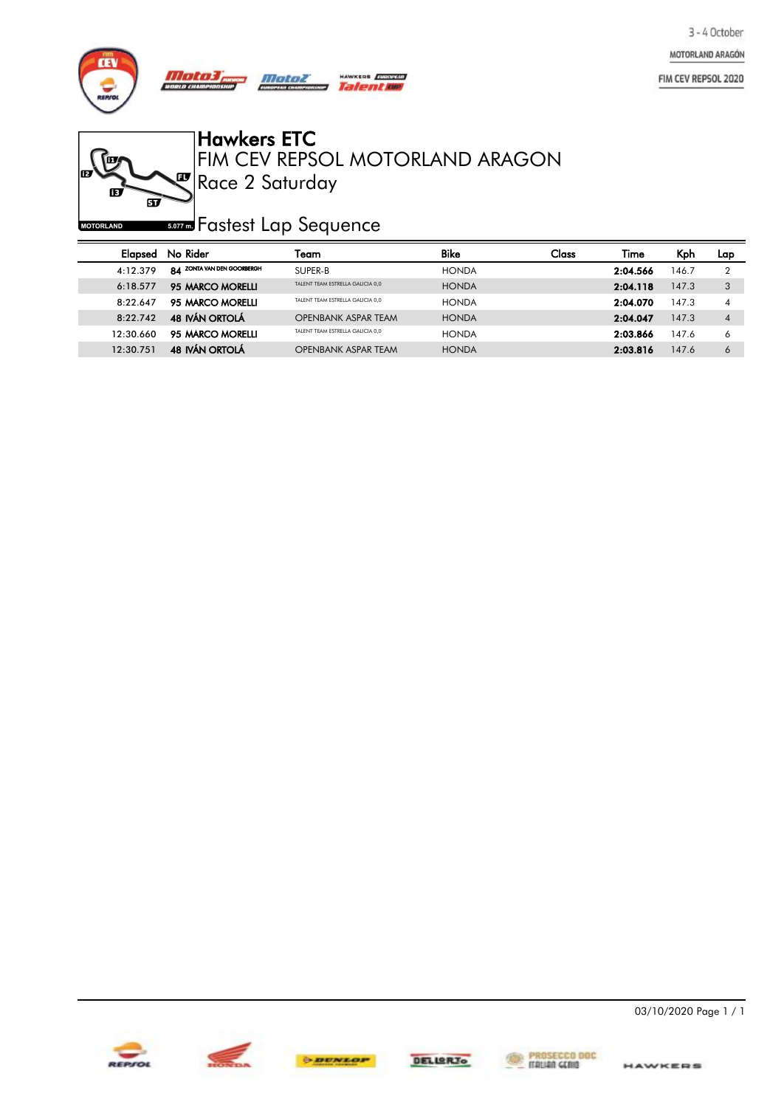MOTORLAND ARAGÓN

FIM CEV REPSOL 2020



**FEE** 

**MOTORLAND** 

Ø

 $\vec{w}$ 

Hawkers ETC

Race 2 Saturday FIM CEV REPSOL MOTORLAND ARAGON

*so***za** Fastest Lap Sequence

| Elapsed   | No Rider                   | Team                             | <b>Bike</b>  | Class | Time     | Kph   | Lap              |
|-----------|----------------------------|----------------------------------|--------------|-------|----------|-------|------------------|
| 4:12.379  | 84 ZONTA VAN DEN GOORBERGH | SUPER-B                          | <b>HONDA</b> |       | 2:04.566 | 146.7 |                  |
| 6:18.577  | 95 MARCO MORELLI           | TALENT TEAM ESTRELLA GALICIA 0.0 | <b>HONDA</b> |       | 2:04.118 | 147.3 | 3                |
| 8.22647   | 95 MARCO MORELLI           | TALENT TEAM ESTRELLA GALICIA 0.0 | <b>HONDA</b> |       | 2:04.070 | 147.3 | 4                |
| 8.22742   | <b>48 IVÁN ORTOLÁ</b>      | <b>OPENBANK ASPAR TEAM</b>       | <b>HONDA</b> |       | 2:04.047 | 147.3 | $\boldsymbol{A}$ |
| 12.30660  | 95 MARCO MORELLI           | TALENT TEAM ESTRELLA GALICIA 0.0 | <b>HONDA</b> |       | 2:03.866 | 147.6 | <sup>6</sup>     |
| 12:30.751 | <b>48 IVÁN ORTOLÁ</b>      | <b>OPENBANK ASPAR TEAM</b>       | <b>HONDA</b> |       | 2:03.816 | 147.6 | 6                |





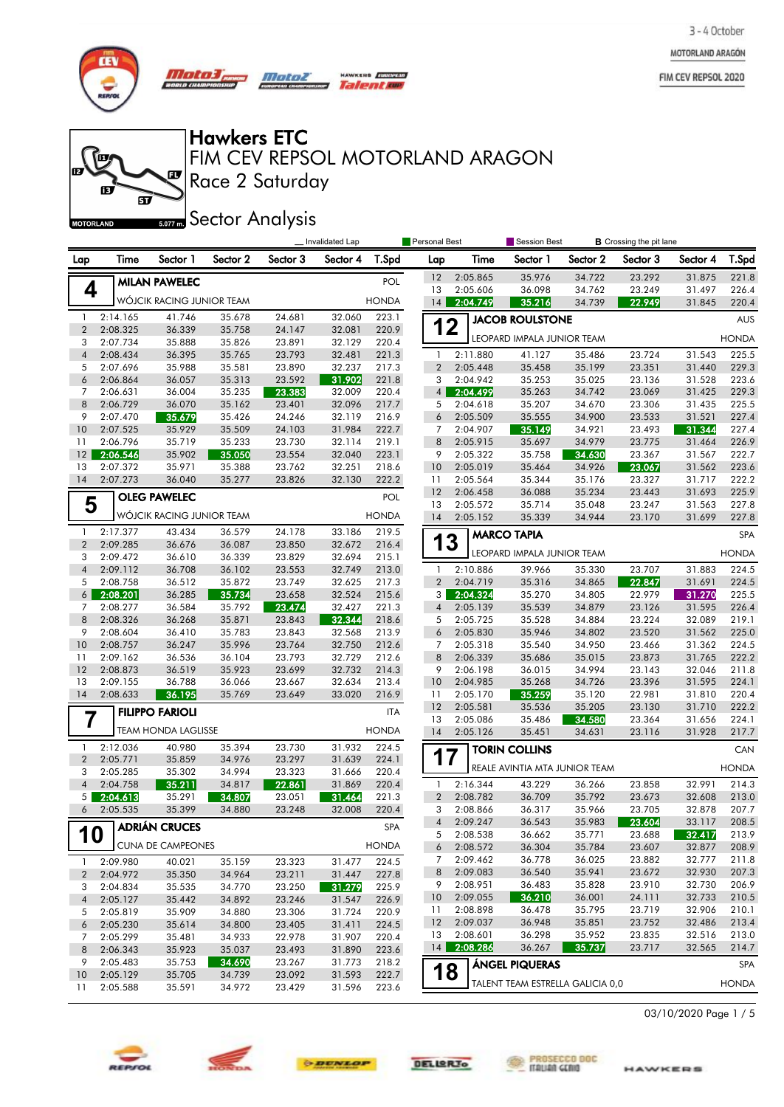MOTORLAND ARAGÓN

FIM CEV REPSOL 2020

**B**



他

Æ

**MOTORLAND** 

m

*Mata3, Motor* un cu

 $\mathbf{F}$ 

<u>මි</u>

Talentoe

Hawkers ETC

Race 2 Saturday FIM CEV REPSOL MOTORLAND ARAGON

HAWKERS **FURNISH** 

**Sector Analysis** 

|                                | Invalidated Lap      |                            |                  |                  |                  | Personal Best  |                | <b>Session Best</b>  |                                  | <b>B</b> Crossing the pit lane |                  |                  |                |
|--------------------------------|----------------------|----------------------------|------------------|------------------|------------------|----------------|----------------|----------------------|----------------------------------|--------------------------------|------------------|------------------|----------------|
| Lap                            | Time                 | Sector 1                   | Sector 2         | Sector 3         | Sector 4         | T.Spd          | Lap            | Time                 | Sector 1                         | Sector 2                       | Sector 3         | Sector 4         | T.Spd          |
|                                |                      | <b>MILAN PAWELEC</b>       |                  |                  |                  | POL            | 12             | 2:05.865             | 35.976                           | 34.722                         | 23.292           | 31.875           | 221.8          |
| 4                              |                      |                            |                  |                  |                  |                | 13             | 2:05.606             | 36.098                           | 34.762                         | 23.249           | 31.497           | 226.4          |
|                                |                      | WÓJCIK RACING JUNIOR TEAM  |                  |                  |                  | <b>HONDA</b>   | 14             | 2:04.749             | 35.216                           | 34.739                         | 22.949           | 31.845           | 220.4          |
| $\mathbf{1}$                   | 2:14.165             | 41.746                     | 35.678           | 24.681           | 32.060           | 223.1          | 12             |                      | <b>JACOB ROULSTONE</b>           |                                |                  |                  | <b>AUS</b>     |
| $\overline{2}$<br>3            | 2:08.325<br>2:07.734 | 36.339<br>35.888           | 35.758<br>35.826 | 24.147<br>23.891 | 32.081<br>32.129 | 220.9<br>220.4 |                |                      | LEOPARD IMPALA JUNIOR TEAM       |                                |                  |                  | <b>HONDA</b>   |
| $\overline{4}$                 | 2:08.434             | 36.395                     | 35.765           | 23.793           | 32.481           | 221.3          | $\mathbf{1}$   | 2:11.880             | 41.127                           | 35.486                         | 23.724           | 31.543           | 225.5          |
| 5                              | 2:07.696             | 35.988                     | 35.581           | 23.890           | 32.237           | 217.3          | $\overline{2}$ | 2:05.448             | 35.458                           | 35.199                         | 23.351           | 31.440           | 229.3          |
| 6                              | 2:06.864             | 36.057                     | 35.313           | 23.592           | 31.902           | 221.8          | 3              | 2:04.942             | 35.253                           | 35.025                         | 23.136           | 31.528           | 223.6          |
| 7                              | 2:06.631             | 36.004                     | 35.235           | 23.383           | 32.009           | 220.4          | 4 <sup>1</sup> | 2:04.499             | 35.263                           | 34.742                         | 23.069           | 31.425           | 229.3          |
| 8                              | 2:06.729             | 36.070                     | 35.162           | 23.401           | 32.096           | 217.7          | 5              | 2:04.618             | 35.207                           | 34.670                         | 23.306           | 31.435           | 225.5          |
| 9                              | 2:07.470             | 35.679                     | 35.426           | 24.246           | 32.119           | 216.9          | 6              | 2:05.509             | 35.555                           | 34.900                         | 23.533           | 31.521           | 227.4          |
| 10                             | 2:07.525             | 35.929                     | 35.509           | 24.103           | 31.984           | 222.7          | 7              | 2:04.907             | 35.149                           | 34.921                         | 23.493           | 31.344           | 227.4          |
| 11                             | 2:06.796             | 35.719                     | 35.233           | 23.730           | 32.114           | 219.1          | 8              | 2:05.915             | 35.697                           | 34.979                         | 23.775           | 31.464           | 226.9          |
| 12                             | 2:06.546             | 35.902                     | 35.050           | 23.554           | 32.040           | 223.1          | 9              | 2:05.322             | 35.758                           | 34.630                         | 23.367           | 31.567           | 222.7          |
| 13                             | 2:07.372             | 35.971                     | 35.388           | 23.762           | 32.251           | 218.6          | 10             | 2:05.019             | 35.464                           | 34.926                         | 23.067           | 31.562           | 223.6          |
| 14                             | 2:07.273             | 36.040                     | 35.277           | 23.826           | 32.130           | 222.2          | 11<br>12       | 2:05.564<br>2:06.458 | 35.344<br>36.088                 | 35.176<br>35.234               | 23.327<br>23.443 | 31.717<br>31.693 | 222.2<br>225.9 |
| 5                              |                      | <b>OLEG PAWELEC</b>        |                  |                  |                  | POL            | 13             | 2:05.572             | 35.714                           | 35.048                         | 23.247           | 31.563           | 227.8          |
|                                |                      | WÓJCIK RACING JUNIOR TEAM  |                  |                  |                  | <b>HONDA</b>   | 14             | 2:05.152             | 35.339                           | 34.944                         | 23.170           | 31.699           | 227.8          |
| $\mathbf{1}$                   | 2:17.377             | 43.434                     | 36.579           | 24.178           | 33.186           | 219.5          |                |                      | <b>MARCO TAPIA</b>               |                                |                  |                  | SPA            |
| $\overline{2}$                 | 2:09.285             | 36.676                     | 36.087           | 23.850           | 32.672           | 216.4          | 13             |                      |                                  |                                |                  |                  |                |
| 3                              | 2:09.472             | 36.610                     | 36.339           | 23.829           | 32.694           | 215.1          |                |                      | LEOPARD IMPALA JUNIOR TEAM       |                                |                  |                  | <b>HONDA</b>   |
| $\overline{4}$                 | 2:09.112             | 36.708                     | 36.102           | 23.553           | 32.749           | 213.0          | -1             | 2:10.886             | 39.966                           | 35.330                         | 23.707           | 31.883           | 224.5          |
| 5                              | 2:08.758             | 36.512                     | 35.872           | 23.749           | 32.625           | 217.3          | $\overline{2}$ | 2:04.719             | 35.316                           | 34.865                         | 22.847           | 31.691           | 224.5          |
| $6 \mid$                       | 2:08.201             | 36.285                     | 35.734           | 23.658           | 32.524           | 215.6          | 3 <sup>1</sup> | 2:04.324             | 35.270                           | 34.805                         | 22.979           | 31.270           | 225.5          |
| 7                              | 2:08.277             | 36.584                     | 35.792           | 23.474           | 32.427           | 221.3          | $\overline{4}$ | 2:05.139             | 35.539                           | 34.879                         | 23.126           | 31.595           | 226.4          |
| 8                              | 2:08.326             | 36.268                     | 35.871           | 23.843           | 32.344           | 218.6          | 5              | 2:05.725             | 35.528                           | 34.884                         | 23.224           | 32.089           | 219.1          |
| 9                              | 2:08.604             | 36.410                     | 35.783           | 23.843           | 32.568           | 213.9          | 6              | 2:05.830             | 35.946                           | 34.802                         | 23.520           | 31.562           | 225.0          |
| 10<br>11                       | 2:08.757<br>2:09.162 | 36.247<br>36.536           | 35.996<br>36.104 | 23.764<br>23.793 | 32.750<br>32.729 | 212.6<br>212.6 | 7<br>8         | 2:05.318<br>2:06.339 | 35.540<br>35.686                 | 34.950<br>35.015               | 23.466<br>23.873 | 31.362<br>31.765 | 224.5<br>222.2 |
| 12                             | 2:08.873             | 36.519                     | 35.923           | 23.699           | 32.732           | 214.3          | 9              | 2:06.198             | 36.015                           | 34.994                         | 23.143           | 32.046           | 211.8          |
| 13                             | 2:09.155             | 36.788                     | 36.066           | 23.667           | 32.634           | 213.4          | 10             | 2:04.985             | 35.268                           | 34.726                         | 23.396           | 31.595           | 224.1          |
| 14                             | 2:08.633             | 36.195                     | 35.769           | 23.649           | 33.020           | 216.9          | 11             | 2:05.170             | 35.259                           | 35.120                         | 22.981           | 31.810           | 220.4          |
|                                |                      | <b>FILIPPO FARIOLI</b>     |                  |                  |                  | <b>ITA</b>     | 12             | 2:05.581             | 35.536                           | 35.205                         | 23.130           | 31.710           | 222.2          |
| 7                              |                      |                            |                  |                  |                  |                | 13             | 2:05.086             | 35.486                           | 34.580                         | 23.364           | 31.656           | 224.1          |
|                                |                      | <b>TEAM HONDA LAGLISSE</b> |                  |                  |                  | <b>HONDA</b>   | 14             | 2:05.126             | 35.451                           | 34.631                         | 23.116           | 31.928           | 217.7          |
| $\mathbf{1}$                   | 2:12.036             | 40.980                     | 35.394           | 23.730           | 31.932           | 224.5          |                |                      | <b>TORIN COLLINS</b>             |                                |                  |                  | CAN            |
| $\overline{2}$                 | 2:05.771             | 35.859                     | 34.976           | 23.297           | 31.639           | 224.1          | 17             |                      |                                  |                                |                  |                  |                |
| 3                              | 2:05.285             | 35.302                     | 34.994           | 23.323           | 31.666           | 220.4          |                |                      | REALE AVINTIA MTA JUNIOR TEAM    |                                |                  |                  | <b>HONDA</b>   |
| $\overline{4}$                 | 2:04.758             | 35.211                     | 34.817           | 22.861           | 31.869           | 220.4          | -1             | 2:16.344             | 43.229                           | 36.266                         | 23.858           | 32.991           | 214.3          |
| 5                              | 2:04.613             | 35.291                     | 34.807           | 23.051           | 31.464           | 221.3          | $\overline{2}$ | 2:08.782             | 36.709                           | 35.792                         | 23.673           | 32.608           | 213.0          |
| 6                              | 2:05.535             | 35.399                     | 34.880           | 23.248           | 32.008           | 220.4          | 3              | 2:08.866             | 36.317                           | 35.966                         | 23.705           | 32.878           | 207.7          |
|                                |                      | 10 ADRIÁN CRUCES           |                  |                  |                  | ${\sf SPA}$    | $\overline{4}$ | 2:09.247             | 36.543                           | 35.983                         | 23.604           | 33.117           | 208.5          |
|                                |                      | <b>CUNA DE CAMPEONES</b>   |                  |                  |                  | <b>HONDA</b>   | 5<br>6         | 2:08.538<br>2:08.572 | 36.662<br>36.304                 | 35.771<br>35.784               | 23.688<br>23.607 | 32.417<br>32.877 | 213.9<br>208.9 |
|                                |                      |                            |                  |                  |                  |                | 7              | 2:09.462             | 36.778                           | 36.025                         | 23.882           | 32.777           | 211.8          |
| $\mathbf{1}$<br>$\overline{2}$ | 2:09.980<br>2:04.972 | 40.021<br>35.350           | 35.159<br>34.964 | 23.323<br>23.211 | 31.477<br>31.447 | 224.5<br>227.8 | 8              | 2:09.083             | 36.540                           | 35.941                         | 23.672           | 32.930           | 207.3          |
| 3                              | 2:04.834             | 35.535                     | 34.770           | 23.250           | 31.279           | 225.9          | 9              | 2:08.951             | 36.483                           | 35.828                         | 23.910           | 32.730           | 206.9          |
| $\overline{4}$                 | 2:05.127             | 35.442                     | 34.892           | 23.246           | 31.547           | 226.9          | 10             | 2:09.055             | -36.210                          | 36.001                         | 24.111           | 32.733           | 210.5          |
| 5                              | 2:05.819             | 35.909                     | 34.880           | 23.306           | 31.724           | 220.9          | 11             | 2:08.898             | 36.478                           | 35.795                         | 23.719           | 32.906           | 210.1          |
| 6                              | 2:05.230             | 35.614                     | 34.800           | 23.405           | 31.411           | 224.5          | 12             | 2:09.037             | 36.948                           | 35.851                         | 23.752           | 32.486           | 213.4          |
| 7                              | 2:05.299             | 35.481                     | 34.933           | 22.978           | 31.907           | 220.4          | 13             | 2:08.601             | 36.298                           | 35.952                         | 23.835           | 32.516           | 213.0          |
| 8                              | 2:06.343             | 35.923                     | 35.037           | 23.493           | 31.890           | 223.6          | 14             | 2:08.286             | 36.267                           | 35.737                         | 23.717           | 32.565           | 214.7          |
| 9                              | 2:05.483             | 35.753                     | 34.690           | 23.267           | 31.773           | 218.2          |                |                      | <b>ÁNGEL PIQUERAS</b>            |                                |                  |                  | <b>SPA</b>     |
| 10                             | 2:05.129             | 35.705                     | 34.739           | 23.092           | 31.593           | 222.7          | 18             |                      | TALENT TEAM ESTRELLA GALICIA 0,0 |                                |                  |                  |                |
| 11                             | 2:05.588             | 35.591                     | 34.972           | 23.429           | 31.596           | 223.6          |                |                      |                                  |                                |                  |                  | <b>HONDA</b>   |







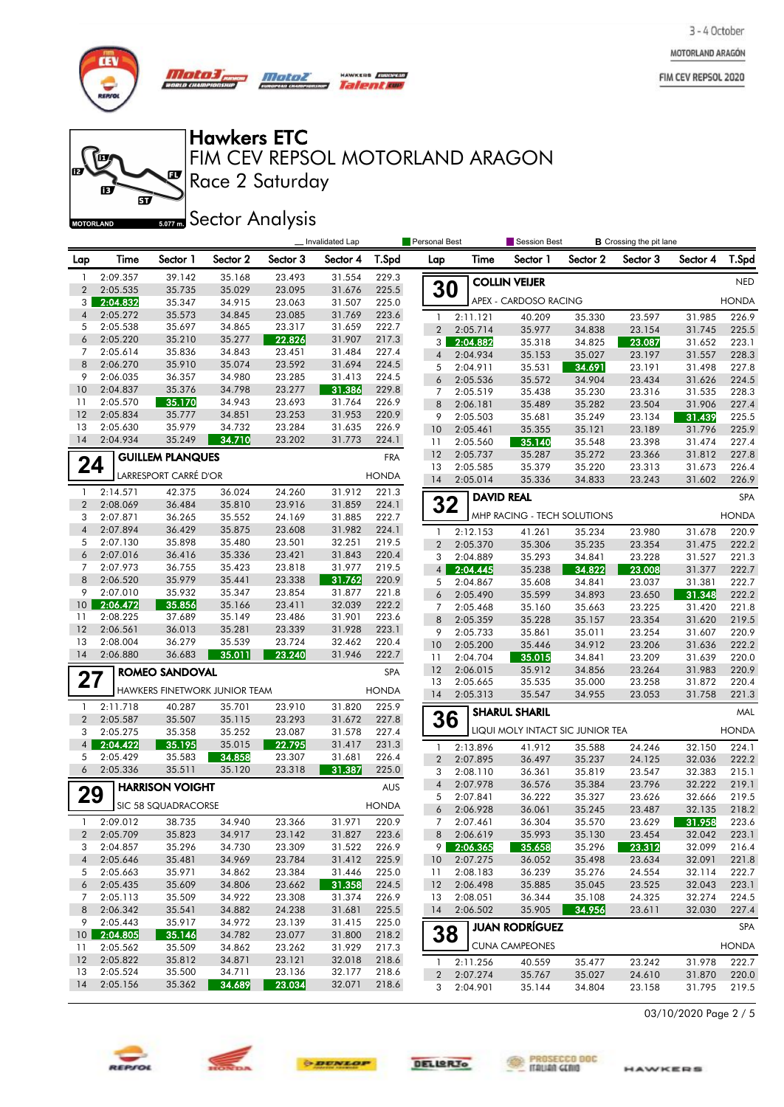MOTORLAND ARAGÓN

FIM CEV REPSOL 2020



**for** 

的

**MOTORLAND** 

m

*Mata3, Motor* no cu

 $\mathbf{F}$ 

 $\widetilde{\mathbf{p}}$ 

**Talent and** 

Hawkers ETC

Race 2 Saturday FIM CEV REPSOL MOTORLAND ARAGON

**Sector Analysis** 

|                 |          |                               |          |          | Invalidated Lap | Personal Best |                |                   | Session Best<br><b>B</b> Crossing the pit lane |          |          |          |              |
|-----------------|----------|-------------------------------|----------|----------|-----------------|---------------|----------------|-------------------|------------------------------------------------|----------|----------|----------|--------------|
| Lap             | Time     | Sector 1                      | Sector 2 | Sector 3 | Sector 4        | T.Spd         | Lap            | Time              | Sector 1                                       | Sector 2 | Sector 3 | Sector 4 | T.Spd        |
| $\mathbf{1}$    | 2:09.357 | 39.142                        | 35.168   | 23.493   | 31.554          | 229.3         |                |                   | <b>COLLIN VEIJER</b>                           |          |          |          | <b>NED</b>   |
| $\overline{2}$  | 2:05.535 | 35.735                        | 35.029   | 23.095   | 31.676          | 225.5         | <b>30</b>      |                   |                                                |          |          |          |              |
| 3 <sup>1</sup>  | 2:04.832 | 35.347                        | 34.915   | 23.063   | 31.507          | 225.0         |                |                   | APEX - CARDOSO RACING                          |          |          |          | <b>HONDA</b> |
| $\overline{4}$  | 2:05.272 | 35.573                        | 34.845   | 23.085   | 31.769          | 223.6         | $\mathbf{1}$   | 2:11.121          | 40.209                                         | 35.330   | 23.597   | 31.985   | 226.9        |
| 5               | 2:05.538 | 35.697                        | 34.865   | 23.317   | 31.659          | 222.7         | $\overline{2}$ | 2:05.714          | 35.977                                         | 34.838   | 23.154   | 31.745   | 225.5        |
| 6               | 2:05.220 | 35.210                        | 35.277   | 22.826   | 31.907          | 217.3         | 3              | 2:04.882          | 35.318                                         | 34.825   | 23.087   | 31.652   | 223.1        |
| 7               | 2:05.614 | 35.836                        | 34.843   | 23.451   | 31.484          | 227.4         | 4              | 2:04.934          | 35.153                                         | 35.027   | 23.197   | 31.557   | 228.3        |
| 8               | 2:06.270 | 35.910                        | 35.074   | 23.592   | 31.694          | 224.5         | 5              | 2:04.911          | 35.531                                         | 34.691   | 23.191   | 31.498   | 227.8        |
| 9               | 2:06.035 | 36.357                        | 34.980   | 23.285   | 31.413          | 224.5         | 6              | 2:05.536          | 35.572                                         | 34.904   | 23.434   | 31.626   | 224.5        |
| 10              | 2:04.837 | 35.376                        | 34.798   | 23.277   | 31.386          | 229.8         | 7              | 2:05.519          | 35.438                                         | 35.230   | 23.316   | 31.535   | 228.3        |
| 11              | 2:05.570 | 35.170                        | 34.943   | 23.693   | 31.764          | 226.9         | 8              | 2:06.181          | 35.489                                         | 35.282   | 23.504   | 31.906   | 227.4        |
| 12              | 2:05.834 | 35.777                        | 34.851   | 23.253   | 31.953          | 220.9         | 9              | 2:05.503          | 35.681                                         | 35.249   | 23.134   | 31.439   | 225.5        |
| 13              | 2:05.630 | 35.979                        | 34.732   | 23.284   | 31.635          | 226.9         | 10             | 2:05.461          | 35.355                                         | 35.121   | 23.189   | 31.796   | 225.9        |
| 14              | 2:04.934 | 35.249                        | 34.710   | 23.202   | 31.773          | 224.1         | 11             | 2:05.560          | 35.140                                         | 35.548   | 23.398   | 31.474   | 227.4        |
|                 |          | <b>GUILLEM PLANQUES</b>       |          |          |                 | <b>FRA</b>    | 12             | 2:05.737          | 35.287                                         | 35.272   | 23.366   | 31.812   | 227.8        |
| 24              |          |                               |          |          |                 |               | 13             | 2:05.585          | 35.379                                         | 35.220   | 23.313   | 31.673   | 226.4        |
|                 |          | LARRESPORT CARRÉ D'OR         |          |          |                 | <b>HONDA</b>  | 14             | 2:05.014          | 35.336                                         | 34.833   | 23.243   | 31.602   | 226.9        |
| $\mathbf{1}$    | 2:14.571 | 42.375                        | 36.024   | 24.260   | 31.912          | 221.3         |                | <b>DAVID REAL</b> |                                                |          |          |          | SPA          |
| $\overline{2}$  | 2:08.069 | 36.484                        | 35.810   | 23.916   | 31.859          | 224.1         | 32             |                   |                                                |          |          |          |              |
| 3               | 2:07.871 | 36.265                        | 35.552   | 24.169   | 31.885          | 222.7         |                |                   | MHP RACING - TECH SOLUTIONS                    |          |          |          | <b>HONDA</b> |
| $\overline{4}$  | 2:07.894 | 36.429                        | 35.875   | 23.608   | 31.982          | 224.1         | $\mathbf{1}$   | 2:12.153          | 41.261                                         | 35.234   | 23.980   | 31.678   | 220.9        |
| 5               | 2:07.130 | 35.898                        | 35.480   | 23.501   | 32.251          | 219.5         | $\overline{2}$ | 2:05.370          | 35.306                                         | 35.235   | 23.354   | 31.475   | 222.2        |
| 6               | 2:07.016 | 36.416                        | 35.336   | 23.421   | 31.843          | 220.4         | 3              | 2:04.889          | 35.293                                         | 34.841   | 23.228   | 31.527   | 221.3        |
| 7               | 2:07.973 | 36.755                        | 35.423   | 23.818   | 31.977          | 219.5         | 4              | 2:04.445          | 35.238                                         | 34.822   | 23.008   | 31.377   | 222.7        |
| 8               | 2:06.520 | 35.979                        | 35.441   | 23.338   | 31.762          | 220.9         | 5              | 2:04.867          | 35.608                                         | 34.841   | 23.037   | 31.381   | 222.7        |
| 9               | 2:07.010 | 35.932                        | 35.347   | 23.854   | 31.877          | 221.8         | 6              | 2:05.490          | 35.599                                         | 34.893   | 23.650   | 31.348   | 222.2        |
| 10              | 2:06.472 | 35.856                        | 35.166   | 23.411   | 32.039          | 222.2         | 7              | 2:05.468          | 35.160                                         | 35.663   | 23.225   | 31.420   | 221.8        |
| 11              | 2:08.225 | 37.689                        | 35.149   | 23.486   | 31.901          | 223.6         | 8              | 2:05.359          | 35.228                                         | 35.157   | 23.354   | 31.620   | 219.5        |
| 12              | 2:06.561 | 36.013                        | 35.281   | 23.339   | 31.928          | 223.1         | 9              | 2:05.733          | 35.861                                         | 35.011   | 23.254   | 31.607   | 220.9        |
| 13              | 2:08.004 | 36.279                        | 35.539   | 23.724   | 32.462          | 220.4         | 10             | 2:05.200          | 35.446                                         | 34.912   | 23.206   | 31.636   | 222.2        |
| 14              | 2:06.880 | 36.683                        | 35.011   | 23.240   | 31.946          | 222.7         | 11             | 2:04.704          | 35.015                                         | 34.841   | 23.209   | 31.639   | 220.0        |
|                 |          | <b>ROMEO SANDOVAL</b>         |          |          |                 | SPA           | 12             | 2:06.015          | 35.912                                         | 34.856   | 23.264   | 31.983   | 220.9        |
| 27              |          |                               |          |          |                 |               | 13             | 2:05.665          | 35.535                                         | 35.000   | 23.258   | 31.872   | 220.4        |
|                 |          | HAWKERS FINETWORK JUNIOR TEAM |          |          |                 | <b>HONDA</b>  | 14             | 2:05.313          | 35.547                                         | 34.955   | 23.053   | 31.758   | 221.3        |
| $\mathbf{1}$    | 2:11.718 | 40.287                        | 35.701   | 23.910   | 31.820          | 225.9         |                |                   | <b>SHARUL SHARIL</b>                           |          |          |          | MAL          |
| $\overline{2}$  | 2:05.587 | 35.507                        | 35.115   | 23.293   | 31.672          | 227.8         | 36             |                   |                                                |          |          |          |              |
| 3               | 2:05.275 | 35.358                        | 35.252   | 23.087   | 31.578          | 227.4         |                |                   | LIQUI MOLY INTACT SIC JUNIOR TEA               |          |          |          | <b>HONDA</b> |
| 4 <sup>1</sup>  | 2:04.422 | 35.195                        | 35.015   | 22.795   | 31.417          | 231.3         | 1              | 2:13.896          | 41.912                                         | 35.588   | 24.246   | 32.150   | 224.1        |
| 5               | 2:05.429 | 35.583                        | 34.858   | 23.307   | 31.681          | 226.4         | $\overline{2}$ | 2:07.895          | 36.497                                         | 35.237   | 24.125   | 32.036   | 222.2        |
| 6               | 2:05.336 | 35.511                        | 35.120   | 23.318   | 31.387          | 225.0         | 3              | 2:08.110          | 36.361                                         | 35.819   | 23.547   | 32.383   | 215.1        |
|                 |          | <b>HARRISON VOIGHT</b>        |          |          |                 | AUS           | $\overline{4}$ | 2:07.978          | 36.576                                         | 35.384   | 23.796   | 32.222   | 219.1        |
| 29              |          |                               |          |          |                 | <b>HONDA</b>  | 5              | 2:07.841          | 36.222                                         | 35.327   | 23.626   | 32.666   | 219.5        |
|                 |          | SIC 58 SQUADRACORSE           |          |          |                 |               | 6              | 2:06.928          | 36.061                                         | 35.245   | 23.487   | 32.135   | 218.2        |
| -1              | 2:09.012 | 38.735                        | 34.940   | 23.366   | 31.971          | 220.9         | 7              | 2:07.461          | 36.304                                         | 35.570   | 23.629   | 31.958   | 223.6        |
| $\mathbf{2}$    | 2:05.709 | 35.823                        | 34.917   | 23.142   | 31.827          | 223.6         |                | 8 2:06.619        | 35.993                                         | 35.130   | 23.454   | 32.042   | 223.1        |
| 3               | 2:04.857 | 35.296                        | 34.730   | 23.309   | 31.522          | 226.9         | 9              | 2:06.365          | 35.658                                         | 35.296   | 23.312   | 32.099   | 216.4        |
| $\overline{4}$  | 2:05.646 | 35.481                        | 34.969   | 23.784   | 31.412          | 225.9         | 10             | 2:07.275          | 36.052                                         | 35.498   | 23.634   | 32.091   | 221.8        |
| 5               | 2:05.663 | 35.971                        | 34.862   | 23.384   | 31.446          | 225.0         | 11             | 2:08.183          | 36.239                                         | 35.276   | 24.554   | 32.114   | 222.7        |
| 6               | 2:05.435 | 35.609                        | 34.806   | 23.662   | 31.358          | 224.5         | -12            | 2:06.498          | 35.885                                         | 35.045   | 23.525   | 32.043   | 223.1        |
| $7^{\circ}$     | 2:05.113 | 35.509                        | 34.922   | 23.308   | 31.374          | 226.9         | 13             | 2:08.051          | 36.344                                         | 35.108   | 24.325   | 32.274   | 224.5        |
| 8               | 2:06.342 | 35.541                        | 34.882   | 24.238   | 31.681          | 225.5         | 14             | 2:06.502          | 35.905                                         | 34.956   | 23.611   | 32.030   | 227.4        |
| 9               | 2:05.443 | 35.917                        | 34.972   | 23.139   | 31.415          | 225.0         |                |                   | <b>JUAN RODRÍGUEZ</b>                          |          |          |          | SPA          |
| 10 <sup>1</sup> | 2:04.805 | 35.146                        | 34.782   | 23.077   | 31.800          | 218.2         | 38             |                   |                                                |          |          |          |              |
| 11              | 2:05.562 | 35.509                        | 34.862   | 23.262   | 31.929          | 217.3         |                |                   | <b>CUNA CAMPEONES</b>                          |          |          |          | <b>HONDA</b> |
| 12              | 2:05.822 | 35.812                        | 34.871   | 23.121   | 32.018          | 218.6         | $\mathbf{1}$   | 2:11.256          | 40.559                                         | 35.477   | 23.242   | 31.978   | 222.7        |
| 13              | 2:05.524 | 35.500                        | 34.711   | 23.136   | 32.177          | 218.6         | $\overline{2}$ | 2:07.274          | 35.767                                         | 35.027   | 24.610   | 31.870   | 220.0        |
| 14              | 2:05.156 | 35.362                        | 34.689   | 23.034   | 32.071          | 218.6         | 3              | 2:04.901          | 35.144                                         | 34.804   | 23.158   | 31.795   | 219.5        |







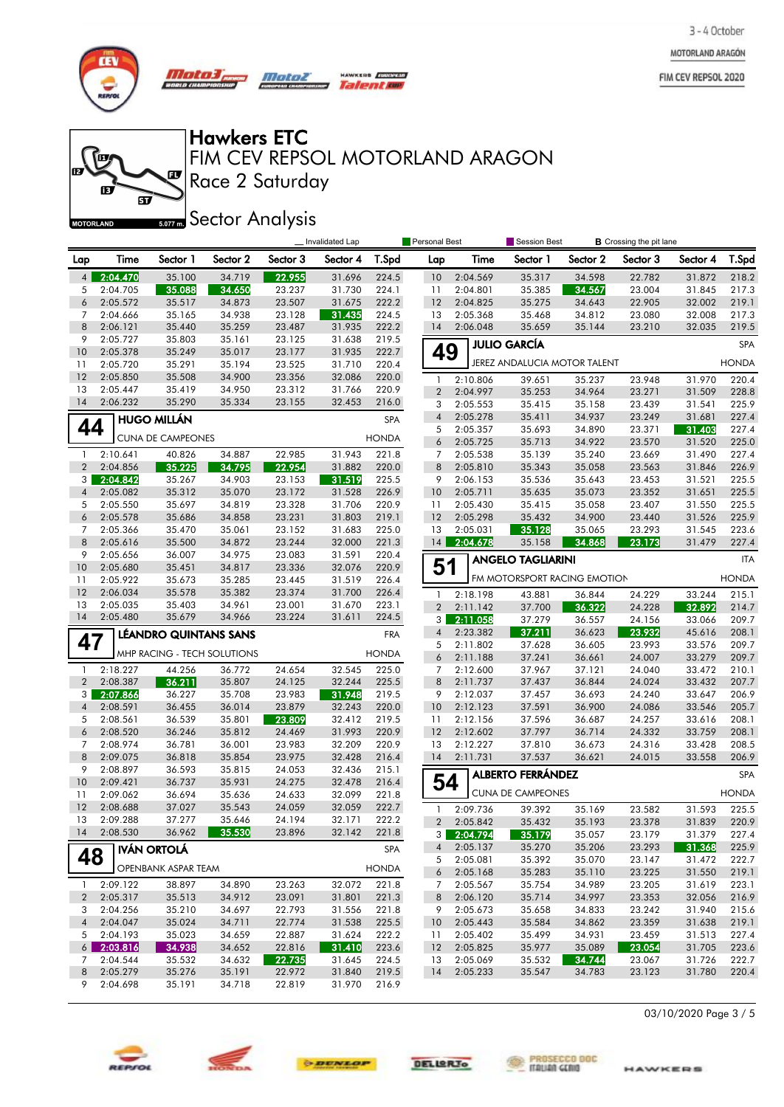MOTORLAND ARAGÓN

FIM CEV REPSOL 2020



**for** 

的

**MOTORLAND** 

m

*Mata3, Motor* no cu

**Talent and** 

# Hawkers ETC

 $\mathbf{F}$ 

 $\widetilde{\mathbf{p}}$ 

Race 2 Saturday FIM CEV REPSOL MOTORLAND ARAGON

**Sector Analysis** 

|                                  |                      | Invalidated Lap          |                              |                  |                  | Personal Best  |                     | Session Best<br><b>B</b> Crossing the pit lane |                              |                  |                  |                  |                |
|----------------------------------|----------------------|--------------------------|------------------------------|------------------|------------------|----------------|---------------------|------------------------------------------------|------------------------------|------------------|------------------|------------------|----------------|
| Lap                              | Time                 | Sector 1                 | Sector 2                     | Sector 3         | Sector 4         | T.Spd          | Lap                 | Time                                           | Sector 1                     | Sector 2         | Sector 3         | Sector 4         | T.Spd          |
| 4 <sup>1</sup>                   | 2:04.470             | 35.100                   | 34.719                       | 22.955           | 31.696           | 224.5          | 10                  | 2:04.569                                       | 35.317                       | 34.598           | 22.782           | 31.872           | 218.2          |
| 5                                | 2:04.705             | 35.088                   | 34.650                       | 23.237           | 31.730           | 224.1          | 11                  | 2:04.801                                       | 35.385                       | 34.567           | 23.004           | 31.845           | 217.3          |
| 6                                | 2:05.572             | 35.517                   | 34.873                       | 23.507           | 31.675           | 222.2          | 12                  | 2:04.825                                       | 35.275                       | 34.643           | 22.905           | 32.002           | 219.1          |
| 7                                | 2:04.666             | 35.165                   | 34.938                       | 23.128           | 31.435           | 224.5          | 13                  | 2:05.368                                       | 35.468                       | 34.812           | 23.080           | 32.008           | 217.3          |
| 8                                | 2:06.121             | 35.440                   | 35.259                       | 23.487           | 31.935           | 222.2          | 14                  | 2:06.048                                       | 35.659                       | 35.144           | 23.210           | 32.035           | 219.5          |
| 9                                | 2:05.727             | 35.803                   | 35.161                       | 23.125           | 31.638           | 219.5          |                     |                                                | <b>JULIO GARCÍA</b>          |                  |                  |                  | <b>SPA</b>     |
| 10                               | 2:05.378             | 35.249                   | 35.017                       | 23.177           | 31.935           | 222.7          | 49                  |                                                | JEREZ ANDALUCIA MOTOR TALENT |                  |                  |                  | <b>HONDA</b>   |
| 11<br>12                         | 2:05.720<br>2:05.850 | 35.291<br>35.508         | 35.194<br>34.900             | 23.525<br>23.356 | 31.710<br>32.086 | 220.4<br>220.0 |                     |                                                |                              |                  |                  |                  |                |
| 13                               | 2:05.447             | 35.419                   | 34.950                       | 23.312           | 31.766           | 220.9          | 1<br>$\overline{2}$ | 2:10.806<br>2:04.997                           | 39.651                       | 35.237           | 23.948           | 31.970           | 220.4          |
| 14                               | 2:06.232             | 35.290                   | 35.334                       | 23.155           | 32.453           | 216.0          | 3                   | 2:05.553                                       | 35.253<br>35.415             | 34.964<br>35.158 | 23.271<br>23.439 | 31.509<br>31.541 | 228.8<br>225.9 |
|                                  |                      | <b>HUGO MILLÁN</b>       |                              |                  |                  | SPA            | $\overline{4}$      | 2:05.278                                       | 35.411                       | 34.937           | 23.249           | 31.681           | 227.4          |
| 44                               |                      |                          |                              |                  |                  |                | 5                   | 2:05.357                                       | 35.693                       | 34.890           | 23.371           | 31.403           | 227.4          |
|                                  |                      | <b>CUNA DE CAMPEONES</b> |                              |                  |                  | <b>HONDA</b>   | 6                   | 2:05.725                                       | 35.713                       | 34.922           | 23.570           | 31.520           | 225.0          |
| 1                                | 2:10.641             | 40.826                   | 34.887                       | 22.985           | 31.943           | 221.8          | 7                   | 2:05.538                                       | 35.139                       | 35.240           | 23.669           | 31.490           | 227.4          |
| $\overline{2}$                   | 2:04.856             | 35.225                   | 34.795                       | 22.954           | 31.882           | 220.0          | 8                   | 2:05.810                                       | 35.343                       | 35.058           | 23.563           | 31.846           | 226.9          |
| 3 <sup>1</sup>                   | 2:04.842             | 35.267                   | 34.903                       | 23.153           | 31.519           | 225.5          | 9                   | 2:06.153                                       | 35.536                       | 35.643           | 23.453           | 31.521           | 225.5          |
| $\overline{4}$                   | 2:05.082             | 35.312                   | 35.070                       | 23.172           | 31.528           | 226.9          | 10                  | 2:05.711                                       | 35.635                       | 35.073           | 23.352           | 31.651           | 225.5          |
| 5                                | 2:05.550             | 35.697                   | 34.819                       | 23.328           | 31.706           | 220.9          | 11                  | 2:05.430                                       | 35.415                       | 35.058           | 23.407           | 31.550           | 225.5          |
| 6                                | 2:05.578             | 35.686                   | 34.858                       | 23.231           | 31.803           | 219.1          | 12                  | 2:05.298                                       | 35.432                       | 34.900           | 23.440           | 31.526           | 225.9          |
| 7<br>8                           | 2:05.366             | 35.470<br>35.500         | 35.061<br>34.872             | 23.152<br>23.244 | 31.683<br>32.000 | 225.0          | 13<br>14            | 2:05.031<br>2:04.678                           | 35.128                       | 35.065           | 23.293           | 31.545<br>31.479 | 223.6<br>227.4 |
| 9                                | 2:05.616<br>2:05.656 | 36.007                   | 34.975                       | 23.083           | 31.591           | 221.3<br>220.4 |                     |                                                | 35.158                       | 34.868           | 23.173           |                  |                |
| 10                               | 2:05.680             | 35.451                   | 34.817                       | 23.336           | 32.076           | 220.9          | 51                  |                                                | <b>ANGELO TAGLIARINI</b>     |                  |                  |                  | <b>ITA</b>     |
| 11                               | 2:05.922             | 35.673                   | 35.285                       | 23.445           | 31.519           | 226.4          |                     |                                                | FM MOTORSPORT RACING EMOTION |                  |                  |                  | <b>HONDA</b>   |
| 12                               | 2:06.034             | 35.578                   | 35.382                       | 23.374           | 31.700           | 226.4          | 1                   | 2:18.198                                       | 43.881                       | 36.844           | 24.229           | 33.244           | 215.1          |
| 13                               | 2:05.035             | 35.403                   | 34.961                       | 23.001           | 31.670           | 223.1          | $\overline{2}$      | 2:11.142                                       | 37.700                       | 36.322           | 24.228           | 32.892           | 214.7          |
| 14                               | 2:05.480             | 35.679                   | 34.966                       | 23.224           | 31.611           | 224.5          | 3                   | 2:11.058                                       | 37.279                       | 36.557           | 24.156           | 33.066           | 209.7          |
|                                  |                      |                          | <b>LÉANDRO QUINTANS SANS</b> |                  |                  | <b>FRA</b>     | $\overline{4}$      | 2:23.382                                       | 37.211                       | 36.623           | 23.932           | 45.616           | 208.1          |
| 47                               |                      |                          |                              |                  |                  | <b>HONDA</b>   | 5                   | 2:11.802                                       | 37.628                       | 36.605           | 23.993           | 33.576           | 209.7          |
|                                  |                      |                          | MHP RACING - TECH SOLUTIONS  |                  |                  |                | 6                   | 2:11.188                                       | 37.241                       | 36.661           | 24.007           | 33.279           | 209.7          |
| $\mathbf{1}$                     | 2:18.227             | 44.256                   | 36.772                       | 24.654           | 32.545           | 225.0          | 7                   | 2:12.600                                       | 37.967                       | 37.121           | 24.040           | 33.472           | 210.1          |
| $\overline{2}$<br>3 <sup>1</sup> | 2:08.387             | 36.211<br>36.227         | 35.807<br>35.708             | 24.125<br>23.983 | 32.244           | 225.5<br>219.5 | 8<br>9              | 2:11.737<br>2:12.037                           | 37.437<br>37.457             | 36.844<br>36.693 | 24.024<br>24.240 | 33.432<br>33.647 | 207.7<br>206.9 |
| $\overline{4}$                   | 2:07.866<br>2:08.591 | 36.455                   | 36.014                       | 23.879           | 31.948<br>32.243 | 220.0          | 10                  | 2:12.123                                       | 37.591                       | 36.900           | 24.086           | 33.546           | 205.7          |
| 5                                | 2:08.561             | 36.539                   | 35.801                       | 23.809           | 32.412           | 219.5          | 11                  | 2:12.156                                       | 37.596                       | 36.687           | 24.257           | 33.616           | 208.1          |
| 6                                | 2:08.520             | 36.246                   | 35.812                       | 24.469           | 31.993           | 220.9          | 12                  | 2:12.602                                       | 37.797                       | 36.714           | 24.332           | 33.759           | 208.1          |
| 7                                | 2:08.974             | 36.781                   | 36.001                       | 23.983           | 32.209           | 220.9          | 13                  | 2:12.227                                       | 37.810                       | 36.673           | 24.316           | 33.428           | 208.5          |
| 8                                | 2:09.075             | 36.818                   | 35.854                       | 23.975           | 32.428           | 216.4          | 14                  | 2:11.731                                       | 37.537                       | 36.621           | 24.015           | 33.558           | 206.9          |
| 9                                | 2:08.897             | 36.593                   | 35.815                       | 24.053           | 32.436           | 215.1          |                     |                                                | <b>ALBERTO FERRÁNDEZ</b>     |                  |                  |                  | <b>SPA</b>     |
| 10                               | 2:09.421             | 36.737                   | 35.931                       | 24.275           | 32.478           | 216.4          | 54                  |                                                |                              |                  |                  |                  |                |
| 11                               | 2:09.062             | 36.694                   | 35.636                       | 24.633           | 32.099           | 221.8          |                     |                                                | <b>CUNA DE CAMPEONES</b>     |                  |                  |                  | <b>HONDA</b>   |
| 12                               | 2:08.688             | 37.027                   | 35.543                       | 24.059           | 32.059           | 222.7          | 1                   | 2:09.736                                       | 39.392                       | 35.169           | 23.582           | 31.593           | 225.5          |
| 13<br>14                         | 2:09.288<br>2:08.530 | 37.277<br>36.962         | 35.646                       | 24.194<br>23.896 | 32.171<br>32.142 | 222.2<br>221.8 | $\overline{2}$      | 2:05.842                                       | 35.432                       | 35.193           | 23.378           | 31.839           | 220.9          |
|                                  |                      |                          | 35.530                       |                  |                  |                |                     | $3 - 2:04.794$                                 | 35.179                       | 35.057           | 23.179           | 31.379           | 227.4          |
| 48                               |                      | <b>IVÁN ORTOLÁ</b>       |                              |                  |                  | SPA            | $\overline{4}$      | 2:05.137                                       | 35.270                       | 35.206           | 23.293           | 31.368           | 225.9          |
|                                  |                      | OPENBANK ASPAR TEAM      |                              |                  |                  | <b>HONDA</b>   | 5<br>6              | 2:05.081<br>2:05.168                           | 35.392<br>35.283             | 35.070<br>35.110 | 23.147<br>23.225 | 31.472<br>31.550 | 222.7<br>219.1 |
| $\mathbf{1}$                     | 2:09.122             | 38.897                   | 34.890                       | 23.263           | 32.072           | 221.8          | 7                   | 2:05.567                                       | 35.754                       | 34.989           | 23.205           | 31.619           | 223.1          |
| $2^{\circ}$                      | 2:05.317             | 35.513                   | 34.912                       | 23.091           | 31.801           | 221.3          | 8                   | 2:06.120                                       | 35.714                       | 34.997           | 23.353           | 32.056           | 216.9          |
| 3                                | 2:04.256             | 35.210                   | 34.697                       | 22.793           | 31.556           | 221.8          | 9                   | 2:05.673                                       | 35.658                       | 34.833           | 23.242           | 31.940           | 215.6          |
| $\overline{4}$                   | 2:04.047             | 35.024                   | 34.711                       | 22.774           | 31.538           | 225.5          | 10                  | 2:05.443                                       | 35.584                       | 34.862           | 23.359           | 31.638           | 219.1          |
| 5                                | 2:04.193             | 35.023                   | 34.659                       | 22.887           | 31.624           | 222.2          | 11                  | 2:05.402                                       | 35.499                       | 34.931           | 23.459           | 31.513           | 227.4          |
| $6 \mid$                         | 2:03.816             | 34.938                   | 34.652                       | 22.816           | 31.410           | 223.6          | 12                  | 2:05.825                                       | 35.977                       | 35.089           | 23.054           | 31.705           | 223.6          |
| 7                                | 2:04.544             | 35.532                   | 34.632                       | 22.735           | 31.645           | 224.5          | 13                  | 2:05.069                                       | 35.532                       | 34.744           | 23.067           | 31.726           | 222.7          |
| 8                                | 2:05.279             | 35.276                   | 35.191                       | 22.972           | 31.840           | 219.5          | 14                  | 2:05.233                                       | 35.547                       | 34.783           | 23.123           | 31.780           | 220.4          |
| 9                                | 2:04.698             | 35.191                   | 34.718                       | 22.819           | 31.970           | 216.9          |                     |                                                |                              |                  |                  |                  |                |







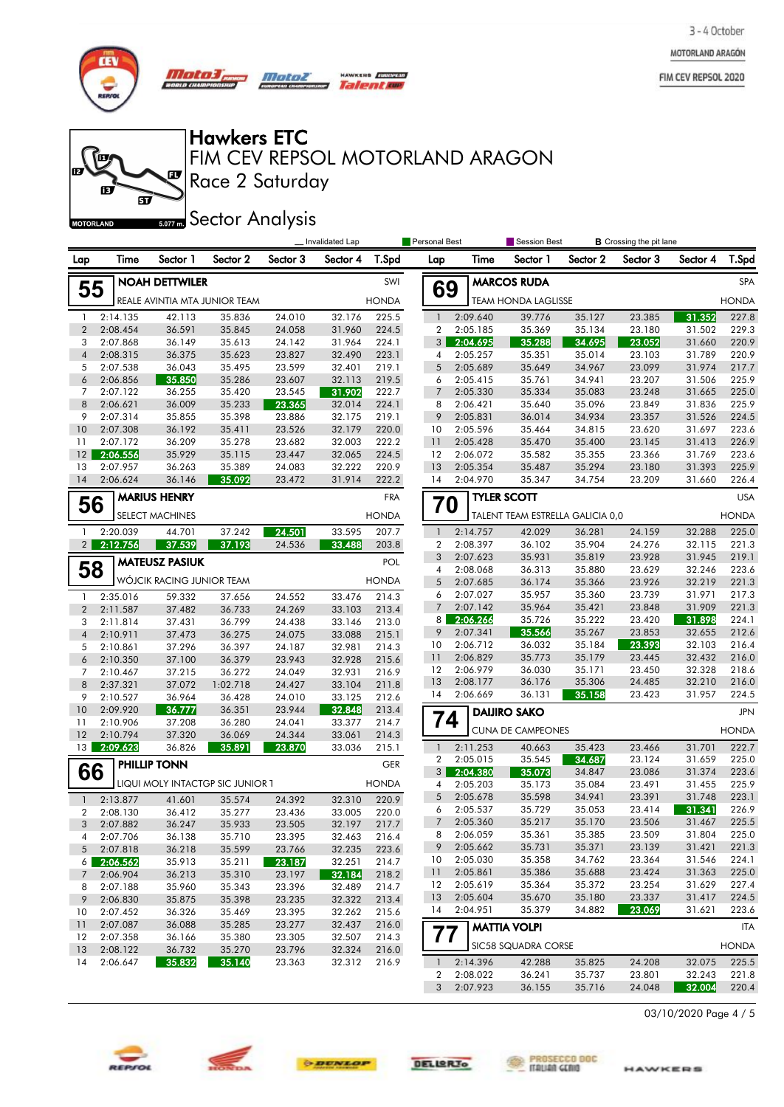MOTORLAND ARAGÓN

FIM CEV REPSOL 2020



**for** 

Æ

**MOTORLAND** 

m

 $\pi \sigma \sigma$ *Motor* 

 $\mathbf{F}$ 

<u>මි</u>

Hawkers ETC

Race 2 Saturday FIM CEV REPSOL MOTORLAND ARAGON

HAWKERS **EUROPESO** Talentime

**Sector Analysis** 

|                                | Invalidated Lap      |                           |                                  |                  |                  | <b>B</b> Crossing the pit lane<br><b>Personal Best</b><br><b>Session Best</b> |                 |            |                                  |                  |                  |                  |                |
|--------------------------------|----------------------|---------------------------|----------------------------------|------------------|------------------|-------------------------------------------------------------------------------|-----------------|------------|----------------------------------|------------------|------------------|------------------|----------------|
| Lap                            | Time                 | Sector 1                  | Sector 2                         | Sector 3         | Sector 4         | T.Spd                                                                         | Lap             | Time       | Sector 1                         | Sector 2         | Sector 3         | Sector 4         | T.Spd          |
|                                |                      | <b>NOAH DETTWILER</b>     |                                  |                  |                  | SWI                                                                           |                 |            | <b>MARCOS RUDA</b>               |                  |                  |                  | SPA            |
| 55                             |                      |                           | REALE AVINTIA MTA JUNIOR TEAM    |                  |                  | <b>HONDA</b>                                                                  | 69              |            | <b>TEAM HONDA LAGLISSE</b>       |                  |                  |                  | <b>HONDA</b>   |
| 1                              | 2:14.135             | 42.113                    | 35.836                           | 24.010           | 32.176           | 225.5                                                                         | $\mathbf{1}$    | 2:09.640   | 39.776                           | 35.127           | 23.385           | 31.352           | 227.8          |
| $\overline{2}$                 | 2:08.454             | 36.591                    | 35.845                           | 24.058           | 31.960           | 224.5                                                                         | $\overline{2}$  | 2:05.185   | 35.369                           | 35.134           | 23.180           | 31.502           | 229.3          |
| 3                              | 2:07.868             | 36.149                    | 35.613                           | 24.142           | 31.964           | 224.1                                                                         | 3 <sup>1</sup>  | 2:04.695   | 35.288                           | 34.695           | 23.052           | 31.660           | 220.9          |
| $\overline{4}$                 | 2:08.315             | 36.375                    | 35.623                           | 23.827           | 32.490           | 223.1                                                                         | 4               | 2:05.257   | 35.351                           | 35.014           | 23.103           | 31.789           | 220.9          |
| 5                              | 2:07.538             | 36.043                    | 35.495                           | 23.599           | 32.401           | 219.1                                                                         | 5               | 2:05.689   | 35.649                           | 34.967           | 23.099           | 31.974           | 217.7          |
| 6                              | 2:06.856             | 35.850                    | 35.286                           | 23.607           | 32.113           | 219.5                                                                         | 6               | 2:05.415   | 35.761                           | 34.941           | 23.207           | 31.506           | 225.9          |
| 7                              | 2:07.122             | 36.255                    | 35.420                           | 23.545           | 31.902           | 222.7                                                                         | $\overline{7}$  | 2:05.330   | 35.334                           | 35.083           | 23.248           | 31.665           | 225.0          |
| 8                              | 2:06.621             | 36.009                    | 35.233                           | 23.365           | 32.014           | 224.1                                                                         | 8               | 2:06.421   | 35.640                           | 35.096           | 23.849           | 31.836           | 225.9          |
| 9                              | 2:07.314             | 35.855                    | 35.398                           | 23.886           | 32.175           | 219.1                                                                         | 9               | 2:05.831   | 36.014                           | 34.934           | 23.357           | 31.526           | 224.5          |
| 10                             | 2:07.308             | 36.192                    | 35.411                           | 23.526           | 32.179           | 220.0                                                                         | 10              | 2:05.596   | 35.464                           | 34.815           | 23.620           | 31.697           | 223.6          |
| 11                             | 2:07.172             | 36.209                    | 35.278                           | 23.682           | 32.003           | 222.2                                                                         | 11              | 2:05.428   | 35.470                           | 35.400           | 23.145           | 31.413           | 226.9          |
| 12                             | 2:06.556             | 35.929                    | 35.115                           | 23.447           | 32.065           | 224.5                                                                         | 12              | 2:06.072   | 35.582                           | 35.355           | 23.366           | 31.769           | 223.6          |
| 13                             | 2:07.957             | 36.263                    | 35.389                           | 24.083           | 32.222           | 220.9                                                                         | 13              | 2:05.354   | 35.487                           | 35.294           | 23.180           | 31.393           | 225.9          |
| 14                             | 2:06.624             | 36.146                    | 35.092                           | 23.472           | 31.914           | 222.2                                                                         | 14              | 2:04.970   | 35.347                           | 34.754           | 23.209           | 31.660           | 226.4          |
|                                |                      | <b>MARIUS HENRY</b>       |                                  |                  |                  | <b>FRA</b>                                                                    |                 |            | <b>TYLER SCOTT</b>               |                  |                  |                  | <b>USA</b>     |
| 56                             |                      | SELECT MACHINES           |                                  |                  |                  | <b>HONDA</b>                                                                  | 70              |            | TALENT TEAM ESTRELLA GALICIA 0,0 |                  |                  |                  | <b>HONDA</b>   |
| $\mathbf{1}$                   | 2:20.039             | 44.701                    | 37.242                           | 24.501           | 33.595           | 207.7                                                                         | $\mathbf{1}$    | 2:14.757   | 42.029                           | 36.281           | 24.159           | 32.288           | 225.0          |
| 2 <sup>1</sup>                 | 2:12.756             | 37.539                    | 37.193                           | 24.536           | 33.488           | 203.8                                                                         | 2               | 2:08.397   | 36.102                           | 35.904           | 24.276           | 32.115           | 221.3          |
|                                |                      |                           |                                  |                  |                  |                                                                               | 3               | 2:07.623   | 35.931                           | 35.819           | 23.928           | 31.945           | 219.1          |
| 58                             |                      | <b>MATEUSZ PASIUK</b>     |                                  |                  |                  | POL                                                                           | 4               | 2:08.068   | 36.313                           | 35.880           | 23.629           | 32.246           | 223.6          |
|                                |                      | WÓJCIK RACING JUNIOR TEAM |                                  |                  |                  | <b>HONDA</b>                                                                  | 5               | 2:07.685   | 36.174                           | 35.366           | 23.926           | 32.219           | 221.3          |
|                                |                      |                           |                                  |                  |                  |                                                                               | 6               | 2:07.027   | 35.957                           | 35.360           | 23.739           | 31.971           | 217.3          |
| $\mathbf{1}$<br>$\overline{2}$ | 2:35.016             | 59.332                    | 37.656                           | 24.552           | 33.476           | 214.3                                                                         | $7\overline{ }$ | 2:07.142   | 35.964                           | 35.421           | 23.848           | 31.909           | 221.3          |
|                                | 2:11.587             | 37.482                    | 36.733                           | 24.269           | 33.103           | 213.4                                                                         |                 | 8 2:06.266 | 35.726                           | 35.222           | 23.420           | 31.898           | 224.1          |
| 3<br>$\overline{4}$            | 2:11.814             | 37.431                    | 36.799                           | 24.438           | 33.146           | 213.0                                                                         | 9               | 2:07.341   | 35.566                           | 35.267           | 23.853           | 32.655           | 212.6          |
|                                | 2:10.911             | 37.473                    | 36.275                           | 24.075           | 33.088           | 215.1                                                                         | 10              | 2:06.712   | 36.032                           | 35.184           | 23.393           | 32.103           | 216.4          |
| 5<br>6                         | 2:10.861             | 37.296                    | 36.397                           | 24.187           | 32.981           | 214.3                                                                         | 11              | 2:06.829   | 35.773                           | 35.179           | 23.445           | 32.432           | 216.0          |
| $\overline{7}$                 | 2:10.350             | 37.100                    | 36.379                           | 23.943           | 32.928           | 215.6                                                                         | 12              | 2:06.979   | 36.030                           | 35.171           | 23.450           | 32.328           | 218.6          |
| 8                              | 2:10.467             | 37.215                    | 36.272                           | 24.049           | 32.931           | 216.9                                                                         | 13              | 2:08.177   | 36.176                           | 35.306           | 24.485           | 32.210           | 216.0          |
| 9                              | 2:37.321             | 37.072                    | 1:02.718                         | 24.427           | 33.104           | 211.8                                                                         | 14              | 2:06.669   | 36.131                           | 35.158           | 23.423           | 31.957           | 224.5          |
| 10                             | 2:10.527             | 36.964                    | 36.428                           | 24.010           | 33.125           | 212.6                                                                         |                 |            |                                  |                  |                  |                  |                |
| 11                             | 2:09.920             | 36.777                    | 36.351                           | 23.944           | 32.848           | 213.4                                                                         | 74              |            | <b>DAIJIRO SAKO</b>              |                  |                  |                  | <b>JPN</b>     |
| 12                             | 2:10.906<br>2:10.794 | 37.208<br>37.320          | 36.280<br>36.069                 | 24.041<br>24.344 | 33.377<br>33.061 | 214.7<br>214.3                                                                |                 |            | <b>CUNA DE CAMPEONES</b>         |                  |                  |                  | <b>HONDA</b>   |
| 13                             | 2:09.623             | 36.826                    | 35.891                           | 23.870           | 33.036           | 215.1                                                                         | $\mathbf{1}$    | 2:11.253   | 40.663                           | 35.423           | 23.466           | 31.701           | 222.7          |
|                                |                      |                           |                                  |                  |                  |                                                                               | 2               | 2:05.015   | 35.545                           | 34.687           | 23.124           | 31.659           | 225.0          |
| 66                             |                      | PHILLIP TONN              |                                  |                  |                  | <b>GER</b>                                                                    | 3 <sup>1</sup>  | 2:04.380   | 35.073                           | 34.847           | 23.086           | 31.374           | 223.6          |
|                                |                      |                           | LIQUI MOLY INTACTGP SIC JUNIOR 1 |                  |                  | <b>HONDA</b>                                                                  | 4               | 2:05.203   | 35.173                           | 35.084           | 23.491           | 31.455           | 225.9          |
|                                |                      |                           |                                  |                  |                  |                                                                               | 5               | 2:05.678   | 35.598                           | 34.941           | 23.391           | 31.748           | 223.1          |
| $\mathbf{1}$                   | 2:13.877             | 41.601                    | 35.574                           | 24.392           | 32.310           | 220.9                                                                         | 6               | 2:05.537   | 35.729                           | 35.053           | 23.414           | 31.341           | 226.9          |
| $\overline{2}$                 | 2:08.130             | 36.412                    | 35.277                           | 23.436           | 33.005           | 220.0                                                                         | $\overline{7}$  | 2:05.360   | 35.217                           | 35.170           | 23.506           | 31.467           | 225.5          |
| 3                              | 2:07.882             | 36.247                    | 35.933                           | 23.505           | 32.197           | 217.7                                                                         | 8               | 2:06.059   | 35.361                           | 35.385           | 23.509           | 31.804           | 225.0          |
| 4                              | 2:07.706             | 36.138                    | 35.710                           | 23.395           | 32.463           | 216.4                                                                         | 9               | 2:05.662   | 35.731                           | 35.371           | 23.139           | 31.421           | 221.3          |
| 5                              | 2:07.818             | 36.218                    | 35.599                           | 23.766           | 32.235           | 223.6                                                                         | 10              | 2:05.030   | 35.358                           | 34.762           | 23.364           | 31.546           | 224.1          |
| 6                              | 2:06.562             | 35.913                    | 35.211                           | 23.187           | 32.251           | 214.7                                                                         | 11              | 2:05.861   | 35.386                           | 35.688           | 23.424           | 31.363           | 225.0          |
| 7                              | 2:06.904             | 36.213                    | 35.310                           | 23.197           | 32.184           | 218.2                                                                         | 12              | 2:05.619   | 35.364                           | 35.372           | 23.254           | 31.629           | 227.4          |
| 8                              | 2:07.188             | 35.960                    | 35.343                           | 23.396           | 32.489           | 214.7                                                                         | -13             | 2:05.604   | 35.670                           | 35.180           | 23.337           | 31.417           | 224.5          |
| 9                              | 2:06.830             | 35.875                    | 35.398                           | 23.235           | 32.322           | 213.4                                                                         | 14              | 2:04.951   | 35.379                           | 34.882           | 23.069           | 31.621           | 223.6          |
| 10                             | 2:07.452             | 36.326                    | 35.469                           | 23.395           | 32.262           | 215.6                                                                         |                 |            |                                  |                  |                  |                  |                |
| 11                             | 2:07.087             | 36.088                    | 35.285                           | 23.277           | 32.437           | 216.0                                                                         | 77              |            | <b>MATTIA VOLPI</b>              |                  |                  |                  | ITA            |
| 12<br>13                       | 2:07.358<br>2:08.122 | 36.166<br>36.732          | 35.380<br>35.270                 | 23.305<br>23.796 | 32.507<br>32.324 | 214.3                                                                         |                 |            | SIC58 SQUADRA CORSE              |                  |                  |                  | <b>HONDA</b>   |
| 14                             | 2:06.647             | 35.832                    | 35.140                           | 23.363           | 32.312           | 216.0<br>216.9                                                                | $\mathbf{1}$    | 2:14.396   | 42.288                           | 35.825           | 24.208           | 32.075           | 225.5          |
|                                |                      |                           |                                  |                  |                  |                                                                               | 2               | 2:08.022   |                                  |                  |                  |                  |                |
|                                |                      |                           |                                  |                  |                  |                                                                               | 3               | 2:07.923   | 36.241<br>36.155                 | 35.737<br>35.716 | 23.801<br>24.048 | 32.243<br>32.004 | 221.8<br>220.4 |
|                                |                      |                           |                                  |                  |                  |                                                                               |                 |            |                                  |                  |                  |                  |                |